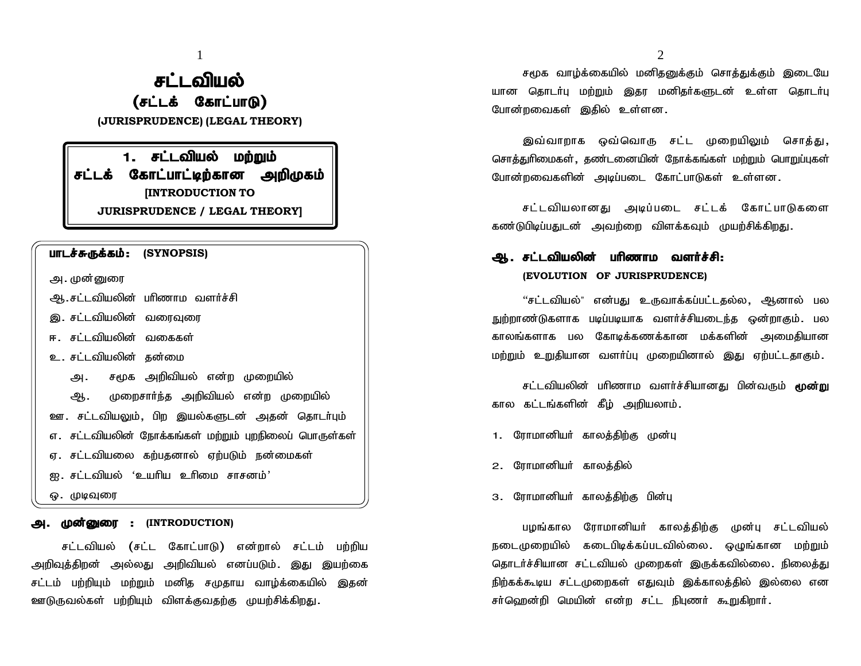1 2

# <sup>1</sup><br>**சட்டவியல்**<br>| **டக் கோட்பாடு)**<br>| IDENCE) (LEGAL THEORY) **சட்டவியல்**<br>**(சட்டக் கோட்பாடு)**<br>sprudence) (legal theory)

**(JURISPRUDENCE) (LEGAL THEORY)**

**| சட்டவியல்**<br>| (சட்டக் கோட்பாடு)<br>!ISPRUDENCE) (LEGAL THEORY)<br>|- சட்டவியல் மற்றும்<br>| கோட்பாட்டிற்கான அறிமுகம் **rl L62111160<br>
(சட்டக் கோட்பாடு)**<br>
(JURISPRUDENCE) (LEGAL THEORY)<br> **1. சட்டவியல் மற்றும்**<br>சட்ட**க் கோட்பாட்டிற்கான அறிமுகம்**<br>
[INTRODUCTION TO **[INTRODUCTION TO JURISPRUDENCE / LEGAL THEORY] ghlas gant lint is partled to the set of the set of the set of the set of the set of the set of the set of the set of the set of the set of the set of the set of the set of the set of the set of the set of the set of th** 

- **பாடச்சுருக்கம் : (SYNOPSIS)**<br>அ. முன்னுரை<br>ஆ. சட்டவியலின் பரிணாம வளர்ச்சி M.rl;ltpaypd; ghpzhk tsHr ;rp
- இ. சட்டவியலின் வரைவுரை
- ஈ. சட்டவியலின் வகைகள்
- உ. சட்டவியலின் கன்மை
	- அ. சமூக அறிவியல் என்ற முறையில்

ஆ. முறைசார்ந்த அறிவியல் என்ற முறையில் ஊ. சட்டவியலும், பிற இயல்களுடன் அதன் தொடர்பும் எ. சட்டவியலின் நோக்கங்கள் மற்றும் புறநிலைப் பொருள்கள் ஏ. சட்டவியலை கற்பதனால் ஏற்படும் நன்மைகள் ண. சட்டவியலும், பிற இயல்களுடன் அதன் தொடா்பும்<br>எ. சட்டவியலும், பிற இயல்களுடன் அதன் தொடா்பும்<br>எ. சட்டவியலை கற்பதனால் ஏற்படும் நன்மைகள்<br>ஐ. சட்டவியல் 'உயாிய உாிமை சாசனம்'<br>ஒ. முடிவுரை **m. Kd ;Diu : (INTRODUCTION)**

rl ;ltpay ; (rl ;l Nfhl ;ghL) vd ;why ; rl ;lk ; gw ;wpa  $\begin{array}{lll} \hline \hbox{\large $\circ$} & \hbox{\large $\oplus$} & \hbox{\large $\oplus$} \ \hline \hbox{\large $\bullet$} & \hbox{\large $\bullet$} & \hbox{\large $\oplus$} \ \hline \hbox{\large $\bullet$} & \hbox{\large $\bullet$} & \hbox{\large $\bullet$} & \hbox{\large $\bullet$} \ \hline \hbox{\large $\bullet$} & \hbox{\large $\bullet$} & \hbox{\large $\bullet$} & \hbox{\large $\bullet$} & \hbox{\large $\bullet$} & \hbox{\large $\bullet$} & \hbox{\large $\bullet$} & \hbox{\large $\bullet$} & \hbox{\large $\bullet$} \ \hline \hbox$ **அ. முன்னுரை : (INTRODUCTION)**<br>சட்டவியல் (சட்ட கோட்பாடு) என்றால் சட்டம் பற்றிய<br>அறிவுத்திறன் அல்லது அறிவியல் எனப்படும். இது இயற்கை<br>சட்டம் பற்றியும் மற்றும் மனித சமுதாய வாழ்க்கையில் இதன்<br>ஊடுருவல்கள் பற்றியும் விளக்குவதற்கு ஊடுருவல்கள் பற்றியும் விளக்குவதற்கு முயற்சிக்கிறது.

 $2$ <br>சமூக வாழ்க்கையில் மனிதனுக்கும் சொத்துக்கும் இடையே<br>தொடா்பு மற்றும் இதர மனிதா்களுடன் உள்ள தொடா்பு  $\frac{2}{4}$ சமூக வாழ்க்கையில் மனிதனுக்கும் சொத்துக்கும் இடையே<br>யான தொடர்பு மற்றும் இதர மனிதர்களுடன் உள்ள தொடர்பு<br>போன்றவைகள் இதில் உள்ளன.  $\epsilon$ மூக வாழ்க்கையில் மனிதனுக்கும் சொத்துக்கும் இடையே<br>யான தொடர்பு மற்றும் இதர மனிதர்களுடன் உள்ள தொடர்பு<br>போன்றவைகள் இதில் உள்ளன. சமூக வாழ்க்கையில் மனிதனுக்கும் சொத்துக்கும் இடையே<br>தொடர்பு மற்றும் இதர மனிதர்களுடன் உள்ள தொடர்பு<br>றவைகள் இதில் உள்ளன.<br>இவ்வாறாக ஒவ்வொரு சட்ட முறையிலும் சொத்து,<br>துரிமைகள், தண்டனையின் நோக்கங்கள் மற்றும் பொறுப்புகள்

சொத்துரிமைகள், தண்டனையின் நோக்கங்கள் மற்றும் பொறுப்புகள் போன்றவைகளின் அடிப்படை கோட்பாடுகள் உள்ளன. இவ்வாறாக ஒவ்வொரு சட்ட முறையிலும் சொத்து,<br>நுரிமைகள், தண்டனையின் நோக்கங்கள் மற்றும் பொறுப்புகள்<br>றவைகளின் அடிப்படை கோட்பாடுகள் உள்ளன.<br>சட்டவியலானது அடிப்படை சட்டக் கோட்பாடுகளை<br>பிடிப்பதுடன் அவற்றை விளக்கவும் முயற்சிக்கிறது. சொத்துரிமைகள், தண்டனையின் நோக்கங்கள் மற்றும் பொறுப்புகள்<br>போன்றவைகளின் அடிப்படை கோட்பாடுகள் உள்ளன.<br>சட்டவியலானது அடிப்படை சட்டக் கோட்பாடுகளை<br>கண்டுபிடிப்பதுடன் அவற்றை விளக்கவும் முயற்சிக்கிறது.

போன்றவைகளின் அடியடை கோட்பாடுகள் உள்ளன.<br>சட்டவியலானது அடிப்படை சட்டக் கோட்பாடுக**ை**<br>கண்டுபிடிப்பதுடன் அவற்றை விளக்கவும் முயற்சிக்கிறது.<br>**ஆ. சட்டவியலின் பரிணாம வளர்ச்சி:**<br>**(EVOLUTION OF JURISPRUDENCE)** 

**(EVOLUTION OF JURISPRUDENCE)**

பிடிப்பதுடன அவறறை விளக்கவும் முயறசிக்கிறது.<br>**சட்டவியலின் பரிணாம வளர்ச்சி:**<br>(EVOLUTION OF JURISPRUDENCE)<br>''சட்டவியல்" என்பது உருவாக்கப்பட்டதல்ல, ஆனால் பல<br>ண்டுகளாக படிப்படியாக வளர்ச்சியடைந்த ஒன்றாகும். பல **ஆ. சட்டவியலின் பரிணாம வளர்ச்சி:**<br>(EVOLUTION OF JURISPRUDENCE)<br>"சட்டவியல்" என்பது உருவாக்கப்பட்டதல்ல, ஆனால் பல<br>நுற்றாண்டுகளாக படிப்படியாக வளர்ச்சியடைந்த ஒன்றாகும். பல<br>காலங்களாக பல கோடிக்கணக்கான மக்களின் அமைதியான காலங்களாக பல கோடிக்கணக்கான மக்களின் அமைதியான<br>மற்றும் உறுதியான வளர்ப்பு முறையினால் இது ஏற்பட்டதாகும்<br>சட்டவியலின் பரிணாம வளர்ச்சியானது பின்வரும் **மூன்று**<br>கால கட்டங்களின் கீழ் அறியலாம். kw ;Wk; cWjpahd tsHg;G Kiwapdhy; ,J Vw;gl;ljhFk ;. ண்டுகளாக படிப்படியாக வளர்ச்சியடைந்த ஒன்றாகும். பல<br>களாக பல கோடிக்கணக்கான மக்களின் அமைதியான<br>) உறுதியான வளர்ப்பு முறையினால் இது ஏற்பட்டதாகும்.<br>சட்டவியலின் பரிணாம வளர்ச்சியானது பின்வரும் **மூன்று**<br>கட்டங்களின் கீழ் அறியலாம்.

1. ரோமானியர் காலத்திற்கு முன்பு

2. ரோமானியர் காலத்தில்

3. ரோமானியர் காலக்கிற்கு பின்பு

ராமானியர் காலத்தில்<br>ராமானியர் காலத்திற்கு பின்பு<br>பழங்கால ரோமானியர் காலத்திற்கு முன்பு சட்டவியல்<br>ழறையில் கடைபிடிக்கப்படவில்லை. ஒழுங்கான மற்றும் ்<br>3. ரோமானியர் காலத்திற்கு பின்பு<br>நடைமுறையில் கடைபிடிக்கப்படவில்லை. ஒழுங்கான மற்றும்<br>தடைமுறையில் கடைபிடிக்கப்படவில்லை. ஒழுங்கான மற்றும்<br>தொடர்ச்சியான சட்டவியல் முறைகள் இருக்கவில்லை. நிலைத்து 3. ரோமானியர் காலத்திற்கு பின்பு<br>பழங்கால ரோமானியர் காலத்திற்கு முன்பு சட்டவியல்<br>நடைமுறையில் கடைபிடிக்கப்படவில்லை. ஒழுங்கான மற்றும்<br>தொடர்ச்சியான சட்டவியல் முறைகள் இருக்கவில்லை. நிலைத்து<br>நிற்கக்கூடிய சட்டமுறைகள் எதுவும் இக்க பழங்கால ரோமானியர் காலத்திற்கு முன்பு சட்டவியல்<br>நடைமுறையில் கடைபிடிக்கப்படவில்லை. ஒழுங்கான மற்றும்<br>தொடர்ச்சியான சட்டவியல் முறைகள் இருக்கவில்லை. நிலைத்து<br>நிற்கக்கூடிய சட்டமுறைகள் எதுவும் இக்காலத்தில் இல்லை என<br>சர்ஹென்றி மெயி பழங்கால ரோமானியர் காலத்திற்கு முன்பு சட்டவியல்<br>நடைமுறையில் கடைபிடிக்கப்படவில்லை. ஒழுங்கான மற்றும்<br>தொடர்ச்சியான சட்டவியல் முறைகள் இருக்கவில்லை. நிலைத்து<br>நிற்கக்கூடிய சட்டமுறைகள் எதுவும் இக்காலத்தில் இல்லை என<br>சர்ஹென்றி மெயி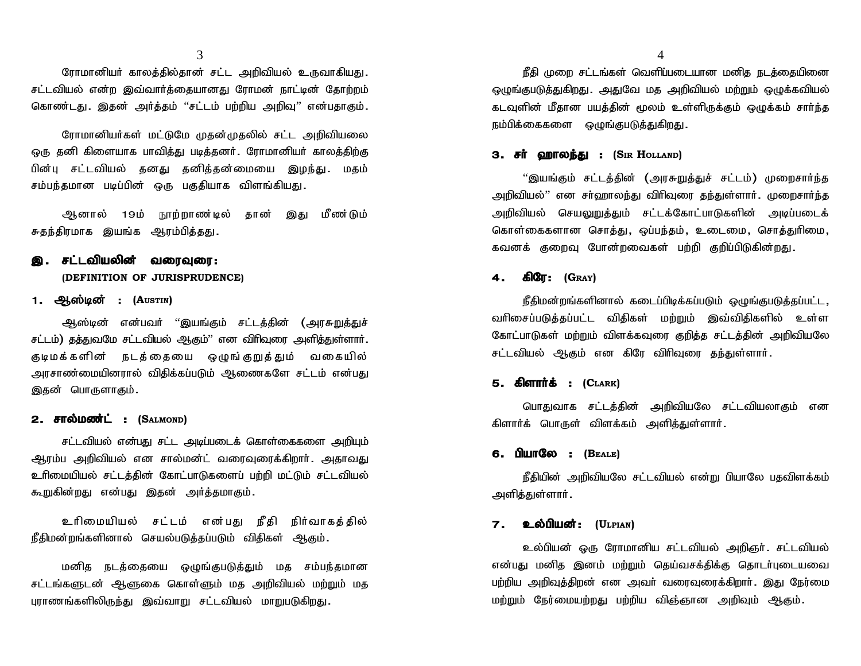3<br>ரோமானியர் காலத்தில்தான் சட்ட அறிவியல் உருவாகியது<br>ியல் என்ற இவ்வார்த்தையானது ரோமன் நாட்டின் தோற்றம் சட்டவியல் என்ற இவ்வார்த்தையானது ரோமன் நாட்டின் தோற்றம் ரோமானியா் காலத்தில்தான் சட்ட அறிவியல் உருவாகியது.<br>சட்டவியல் என்ற இவ்வாா்த்தையானது ரோமன் நாட்டின் தோற்றம்<br>கொண்டது. இதன் அா்த்தம் ''சட்டம் பற்றிய அறிவு'' என்பதாகும். ரோமானியா் காலத்தில்தான் சட்ட அறிவியல் உருவாகியது.<br>ியல் என்ற இவ்வாா்த்தையானது ரோமன் நாட்டின் தோற்றம்<br>எ்டது. இதன் அா்த்தம் ''சட்டம் பற்றிய அறிவு'' என்பதாகும்.<br>ரோமானியா்கள் மட்டுமே முதன்முதலில் சட்ட அறிவியலை<br>னி கிளையாக பாவித

ஒரு தனி கிளையாக பாவித்து படித்தனர். ரோமானியர் காலத்திற்கு - — — — — — — — அதை திரைக்கை திரைக்கை திரைக்கை திரைக்கி கொண்டது.<br>கொண்டது. இதன் அர்த்தம் ''சட்டம் பற்றிய அறிவு'' என்பதாகும்.<br>ஒரு தனி கிளையாக பாவித்து படித்தனர். ரோமானியர் காலத்திற்கு<br>பின்பு சட்டவியல் தனது தனித்தன்மையை இழந் ரிக்கப்படது. இதன் குடித்தப்பட்டிய முத்திய குடித்து ;<br>ரோமானியர்கள் மட்டுமே முதன்முதலில் சட்ட அறிவியலை<br>ஒரு தனி கிளையாக பாவித்து படித்தனர். ரோமானியர் காலத்திற்கு<br>பின்பு சட்டவியல் தனது தனித்தன்மையை இழந்து. மதம்<br>சம்பந்தமான படி Mdhy ; 19k ; E}w ;whz ;by ; jhd ; ,J k Pz ;Lk ; பின்பு சட்டவியல் தனது தனித்தன்மையை இழந்து. மதம்<br>சம்பந்தமான படிப்பின் ஒரு பகுதியாக விளங்கியது.<br>- ஆனால் 19ம் நூற்றாண்டில் தான் இது மீண்டும்<br>சுதந்திரமாக இயங்க ஆரம்பித்தது.

சம்பந்தமான படிப்பின் ஒரு பகுதியாக *வி*<br>ஆனால் 19ம் நூற்றாண**்டில் த**<br>சுதந்திரமாக இயங்க ஆரம்பித்தது.<br>**இ. சட்டவியலின் வரைவுரை:**<br>(DEFINITION OF JURISPRUDENCE)

## **(DEFINITION OF JURISPRUDENCE) இ. சட்டவியலின் வரைவுரை:**<br>(DEFINITION OF JURISPRUDENCE)<br>1. ஆஸ்டின் : (Austin)<br>அஸ்டின் என்பவர் ''இயங்கும் சட்டக்கின் (அாசுறுக்குச்

**சட்டவியலின் வரைவுரை:**<br>(DEFINITION OF JURISPRUDENCE)<br><mark>பூஸ்டின் : (A</mark>usrin)<br>ஆஸ்டின் என்பவா் ''இயங்கும் சட்டத்தின் (அரசுறுத்துச்<br>) தத்துவமே சட்டவியல் ஆகும்'' என விாிவுரை அளித்துள்ளாா். சட்டம்) தத்துவமே சட்டவியல் ஆகும்'' என விாிவுரை அளித்துள்ளாா். Fbkf ;fs pd ; elj ;ijia xOq ;FWj ;Jk ; tifa py ; **1. ஆஸ்டின : (A**usrin)<br>ஆஸ்டின் என்பவர் ''இயங்கும் சட்டத்தின் (அரசுறுத்துச்<br>சட்டம்) தத்துவமே சட்டவியல் ஆகும்'' என விரிவுரை அளித்துள்ளார்.<br>குடிமக்களின் நடத்தையை ஒழுங்குறுத்தும் வகையில்<br>அரசாண்மையினரால் விதிக்கப்படும் ஆணைகளே ஆஸ்டின் என்பவர் ''இயங்கும்<br>சட்டம்) தத்துவமே சட்டவியல் ஆகும்'' என<br>குடிமக்களின் நடத்தையை ஒழுா<br>அரசாண்மையினரால் விதிக்கப்படும் ஆ<br>இதன் பொருளாகும் சடடம) தததுவமே சட்டவியல் ஆகும<sup>்</sup> e<br>குடிமக்களின் நடத்தையை ஒ<sub>(</sub><br>அரசாண்மையினரால் விதிக்கப்படும்<br>இதன் பொருளாகும்<br>**2. சால்மண்ட் : (S**almond)<br>சட்டவியல் என்பது சட்ட அடிப்ப

சட்டவியல் என்பது சட்ட அடிப்படைக் கொள்கைகளை அறியும் இதன் பொருளாகும்.<br>**2. சால்மண்ட் : (S**aடмомр)<br>சட்டவியல் என்பது சட்ட அடிப்படைக் கொள்கைகளை அறியும்<br>ஆரம்ப அறிவியல் என சால்மன்ட் வரைவுரைக்கிறாா். அதாவது<br>உரிமையியல் சட்டத்தின் கோட்பாடுகளைப் பற்றி மட்டும் சட்டவியல் உரிமையியல் சட்டத்தின் கோட்பாடுகளைப் பற்றி மட்டும் சட்டவியல் **2. சாலமணட : (S**atmonp)<br>சட்டவியல் என்பது சட்ட அடிப்படைக் கொள்கைகளை அறி<br>ஆரம்ப அறிவியல் என சால்மன்ட் வரைவுரைக்கிறாா். அதா $\epsilon$ உரிமையியல் சட்டத்தின் கோட்பாடுகளைப் பற்றி மட்டும் சட்டவி<br>கூறுகின்றது என்பது இதன் அா்த்தமாகும். ch pika pay ; rl ;lk ; vd ;gJ e Pj p e pHthfj ;j py ; ூர் உட குதியியல் சட்டத்தின் கோட்பாடுகளைப் பற்றி மட்டும் சட்டவியல்<br>உரிமையியல் சட்டத்தின் கோட்பாடுகளைப் பற்றி மட்டும் சட்டவியல்<br>கூறுகின்றது என்பது இதன் அர்த்தமாகும்.<br>நீதிமன்றங்களினால் செயல்படுத்தப்படும் விதிகள் ஆகும்.

னறது என்பது இதன் அாத்தமாகும்.<br>உரிமையியல் சட்டம் என்பது நீதி நிர்வாகத்தில்<br>ர்றங்களினால் செயல்படுத்தப்படும் விதிகள் ஆகும்.<br>மனித நடத்தையை ஒழுங்குபடுத்தும் மத சம்பந்தமான<br>களுடன் ஆளுகை கொள்ளும் மத அறிவியல் மற்றும்

உரிமையியல் சட்டம் என்பது நீதி நிர்வாகத்தில்<br>நீதிமன்றங்களினால் செயல்படுத்தப்படும் விதிகள் ஆகும்.<br>மனித நடத்தையை ஒழுங்குபடுத்தும் மத சம்பந்தமான<br>சட்டங்களுடன் ஆளுகை கொள்ளும் மத அறிவியல் மற்றும் மத<br>புராணங்களிலிருந்து இவ்வாறு சட உரிமையியல் சட்டம் என்பது நீதி நிர்வாகத்தில்<br>நீதிமன்றங்களினால் செயல்படுத்தப்படும் விதிகள் ஆகும்.<br>மனித நடத்தையை ஒழுங்குபடுத்தும் மத சம்பந்தமான<br>சட்டங்களுடன் ஆளுகை கொள்ளும் மத அறிவியல் மற்றும் மத<br>பாாணங்களிலிருந்து இவ்வாறு சட்

 $\mathsf{f}\!\mathsf{f}\!\mathsf{f}\mathsf{f}\!\mathsf{f}$  (மறை சட்டங்கள் வெளிப்படையான மனித நடக்கையினை ஒழுங்குபடுத்துகிறது. அதுவே மத அறிவியல் மற்றும் ஒழுக்கவியல் flam; முறை சட்டங்கள் வெளிப்படையான மனித நடத்தையினை<br>ஒழுங்குபடுத்துகிறது. அதுவே மத அறிவியல் மற்றும் ஒழுக்கவியல்<br>கடவுளின் மீதான பயத்தின் மூலம் உள்ளிருக்கும் ஒழுக்கம் சாா்ந்த<br>நம்பிக்கைகளை ஒழுங்குபடுத்துகிறது. கடவுளின் மீதான பயத்தின் மூலம் உள்ளிருக்கும் ஒழுக்கம் சார்ந்த<br>நம்பிக்கைகளை ஒமுங்குபடுக்துகிறது. தை முலர் சட்டங்கள் வெளியலட்டியான மனத் நடதலதயல்லா<br>ஒழுங்குபடுத்துகிறது. அதுவே மத அறிவியல் மற்றும் ஒழுக்கவியல்<br>கடவுளின் மீதான பயத்தின் மூலம் உள்ளிருக்கும் ஒழுக்கம் சாா்ந்த<br>நம்பிக்கைகளை ஒழுங்குபடுத்துகிறது.<br>3**. சா் ஹாலந்து :** 

அறிவியல்'' என சா்ஹாலந்து விரிவுரை தந்துள்ளாா். முறைசாா்ந்த **3. சா் ஹாலந்து : (S**ır **H**otland)<br>''இயங்கும் சட்டத்தின் (அரசுறுத்துச் சட்டம்) முறைசாா்ந்த<br>அறிவியல்'' என சா்ஹாலந்து விாிவுரை தந்துள்ளாா். முறைசாா்ந்த<br>அறிவியல் செயலுறுத்தும் சட்டக்கோட்பாடுகளின் அடிப்படைக்<br>கொள்கைகளான சொத **3. சா ஹாலந்து : (Sik H**OLLAND)<br>''இயங்கும் சட்டத்தின் (அரசுறுத்துச் சட்டம்) முறைசார்ந்த<br>அறிவியல்'' என சர்ஹாலந்து விரிவுரை தந்துள்ளார். முறைசார்ந்த<br>அறிவியல் செயலுறுத்தும் சட்டக்கோட்பாடுகளின் அடிப்படைக்<br>கொள்கைகளான சொத்து "இயங்கும் சட்டத்தின் (அரசுறுத்துச் சட்டம்) முறைசார்ந்த<br>அறிவியல்" என சா்ஹாலந்து விரிவுரை தந்துள்ளார். முறைசார்ந்த<br>அறிவியல் செயலுறுத்தும் சட்டக்கோட்பாடுகளின் அடிப்படைக்<br>கொள்கைகளான சொத்து, ஒப்பந்தம், உடைமை, சொத்துரிமை,<br>க

### **4. fpNu: (GRAY)**

நீதிமன்றங்களினால் கடைப்பிடிக்கப்படும் ஒமுங்குபடுக்கப்பட்ட, கவனக் குறைவு போன்றவைகள் பற்றி குறிப்பிடுகின்றது.<br>**4. கிரே : (G**rax)<br>நீதிமன்றங்களினால் கடைப்பிடிக்கப்படும் ஒழுங்குபடுத்தப்பட்ட ,<br>வரிசைப்படுத்தப்பட்ட விதிகள் மற்றும் இவ்விதிகளில் உள்ள<br>கோட்பாடுகள் மற்றும் விளக்கவுரை குறித்த கோட்பாடுகள் மற்றும் விளக்கவுரை குறித்த சட்டத்தின் அறிவியலே <del>4 : கூலு : (GRAY)</del><br>நீதிமன்றங்களினால் கடைப்பிடிக்கப்படும் ஒழுங்குபடுத்தப்<br>வரிசைப்படுத்தப்பட்ட விதிகள் மற்றும் இவ்விதிகளில் உ<br>கோட்பாடுகள் மற்றும் விளக்கவுரை குறித்த சட்டத்தின் அறிவி<br>சட்டவியல் ஆகும் என கிரே விரிவுரை தந்துள நதஙலாறங்கள்லால் கல்ட்பட்<br>வரிசைப்படுத்தப்பட்ட விதிகள் ப<br>கோட்பாடுகள் மற்றும் விளக்கவுரை<br>சட்டவியல் ஆகும் என கிரே வி<br>**5. கிளாா்க் : (C**LARK)<br>பொசுமொக சட்டக்கின் அட பாடுகள் மற்றும் விளக்கவுரை குறித்த சட்டத்தின் அறிவியலே<br>ilயல் ஆகும் என கிரே விரிவுரை தந்துள்ளார்.<br>**kirifriக் : (C**LARK)<br>பொதுவாக சட்டத்தின் அறிவியலே சட்டவியலாகும் என<br>க் பொருள் விளக்கம் அளித்துள்ளார்.

சட்டவியல் ஆகும் என கிரே விரிவுரை தந்துள்ள<br>**5. கிளாா்க் : (C**LARK)<br>மொதுவாக சட்டத்தின் அறிவியலே சட்டவி<br>கிளாா்க் பொருள் விளக்கம் அளித்துள்ளாா்.

### **6. gpahNy : (BEALE)**

நீதியின் அறிவியலே சட்டவியல் என்று பியாலே பதவிளக்கம் அளித்துள்ளார். **6. பியாலே : (B**eale)<br>நீதியின் அறிவியலே சட்டவியல்<br>அளித்துள்ளார்.<br>7**. உல்பியன்: (U**lPIAN)<br>உல்பியன் ஒரு ரோமானிய சட்ட

**7 . உல்பியன் : (U**LPIAN)<br>உல்பியன் ஒரு ரோமானிய சட்டவியல் அறிஞர் .சட்டவியல்<br>என்பது மனித இனம் மற்றும் தெய்வசக்திக்கு தொடர்புடையவை அளித்துள்ளாா்.<br>**7 . உல்பியன் : (U**LPIAN)<br>உல்பியன் ஒரு ரோமானிய சட்டவியல் அறிஞா். சட்டவியல்<br>என்பது மனித இனம் மற்றும் தெய்வசக்திக்கு தொடா்புடையவை<br>பற்றிய அறிவுத்திறன் என அவா் வரைவுரைக்கிறாா். இது நேர்மை பற்றிய அறிவுத்திறன் என அவர் வரைவுரைக்கிறார். இது நேர்மை 7 **. உல்பியன் : (**ULPIAN)<br>உல்பியன் ஒரு ரோமானிய சட்டவியல் அறிஞா். சட்டவியல்<br>என்பது மனித இனம் மற்றும் தெய்வசக்திக்கு தொடா்புடையவை<br>மற்றும் நேர்மையற்றது பற்றிய விஞ்ஞான அறிவும் ஆகும்.<br>மற்றும் நேர்மையற்றது பற்றிய விஞ்ஞான அறிவும

 $3 \overline{4}$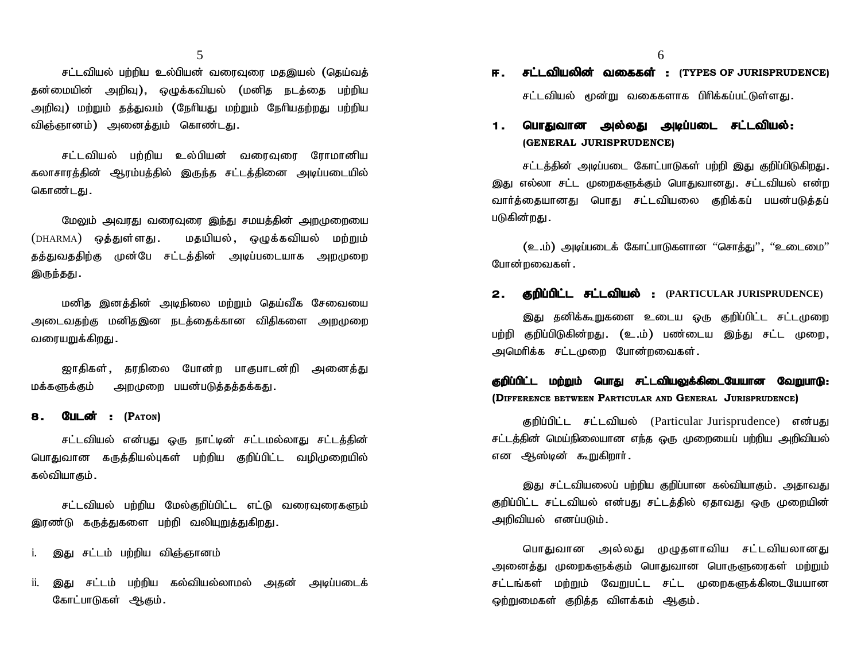சட்டவியல் பற்றிய உல்பியன் வரைவுரை மதஇயல் (தெய்வத் ر<br>சட்டவியல் பற்றிய உல்பியன் வரைவுரை மதஇயல் (தெய்வத்<br>தன்மையின் அறிவு), ஒழுக்கவியல் (மனித நடத்தை பற்றிய<br>அறிவு) மற்றும் தத்துவம் (நேரியது மற்றும் நேரியதற்றது பற்றிய 5<br>சட்டவியல் பற்றிய உல்பியன் வரைவுரை மதஇயல் (தெய்வத்<br>அறிவு) மற்றும் தத்துவம் (நேரியது மற்றும் நேரியதற்றது பற்றிய<br>விஞ்ஞானம்) அனைத்தும் கொண்டது. 5<br>சட்டவியல் பற்றிய உல்பியன் வரைவுரை<br>தன்மையின் அறிவு), ஒழுக்கவியல் (மனித<br>அறிவு) மற்றும் தத்துவம் (நேரியது மற்றும் (<br>விஞ்ஞானம்) அனைத்தும் கொண்டது மயின் அறிவு), ஒழுக்கவியல் (மனித நடத்தை பற்றிய<br>|) மற்றும் தத்துவம் (நேரியது மற்றும் நேரியதற்றது பற்றிய<br>நானம்) அனைத்தும் கொண்டது.<br>சட்டவியல் பற்றிய உல்பியன் வரைவுரை ரோமானிய<br>ாரத்தின் ஆரம்பத்தில் இருந்த சட்டத்தினை அடிப்படையில்

அறிவு) மற்றும் தத்துவம் (நேரியது மற்றும் நேரியதற்றது பற்றிய<br>விஞ்ஞானம்) அனைத்தும் கொண்டது.<br>சட்டவியல் பற்றிய உல்பியன் வரைவுரை ரோமானிய<br>கலாசாரத்தின் ஆரம்பத்தில் இருந்த சட்டத்தினை அடிப்படையில்<br>கொண்டது. விஞ்ஞானம்) அனைத்தும் கொண்டது.<br>சட்டவியல் பற்றிய உல்பியன் வரைவுரை ரோமானிய<br>கலாசாரத்தின் ஆரம்பத்தில் இருந்த சட்டத்தினை அடிப்படையில்<br>கொண்டகு.

மேலும் அவரது வரைவுரை இந்து சமயத்தின் அறமுறையை கலாசாரத்தின் ஆரம்பத்தில் இருந்த சட்டத்தினை அடிப்படையில்<br>கொண்டது<br>மேலும் அவரது வரைவுரை இந்து சமயத்தின் அறமுறையை<br>(DHARMA) ஒத்துள்ளது . மதயியல் , ஒழுக்கவியல் மற்றும்<br>தத்துவததிற்கு முன்பே சட்டத்தின் அடிப்படையாக அறமுறை கொண்டது .<br>மேலும் அவரது வரைவுரை இந்து சமயத்தின் அறமுறையை<br>(DHARMA) ஒத்துள்ளது . மதயியல் , ஒழுக்கவியல் மற்றும்<br>தத்துவததிற்கு முன்பே சட்டத்தின் அடிப்படையாக அறமுறை<br>இருந்தது . இருந்தது.

மனித இனத்தின் அடிநிலை மற்றும் தெய்வீக சேவையை தத்துவததிற்கு முன்பே சட்டத்தின் அடிப்படையாக அறமுறை<br>இருந்தது.<br>மனித இனத்தின் அடிநிலை மற்றும் தெய்வீக சேவையை<br>அடைவதற்கு மனிதஇன நடத்தைக்கான விதிகளை அறமுறை<br>வரையறுக்கிறது. இருந்தது .<br>மனித இனத்தின் அடிந்<br>அடைவதற்கு மனிதஇன நட<br>வரையறுக்கிறது . மனித இனத்தின் அடிநிலை மற்றும் தெய்வீக சேவையை<br>வதற்கு மனிதஇன நடத்தைக்கான விதிகளை அறமுறை<br>பறுக்கிறது.<br>ஜாதிகள், தரநிலை போன்ற பாகுபாடன்றி அனைத்து<br>நக்கும் அறமுறை பயன்படுத்தத்தக்கது. அடைவதற்கு மனிதஇன நடத்தைக்கான விதிகளை அ<br>வரையறுக்கிறது .<br>ஜாதிகள், தரநிலை போன்ற பாகுபாடன்றி அ<br>மக்களுக்கும் அறமுறை பயன்படுத்தத்தக்கது .

வரையறுக்கிறது .<br>ஜாதிகள் , தரநிலை போண<br>மக்களுக்கும் அறமுறை பயன்ப<br>**8 . பேடன் : (P**aron)<br>சட்டவியல் என்பது ஒரு நா

ஜாதிகள், தரநிலை போன்ற பாகுபாடன்றி அனைத்து<br>நக்கும் அறமுறை பயன்படுத்தத்தக்கது.<br>**பேடன் : (P**aro**x)**<br>சட்டவியல் என்பது ஒரு நாட்டின் சட்டமல்லாது சட்டத்தின்<br>வான கருத்தியல்புகள் பற்றிய குறிப்பிட்ட வழிமுறையில் மக்களுக்கும் அறமுறை பயன்படுத்தத்தக்கது<br>**8. பேடன் : (P**aron)<br>சட்டவியல் என்பது ஒரு நாட்டின் சட்டமல்லாது சட்டத்தின்<br>பொதுவான கருத்தியல்புகள் பற்றிய குறிப்பிட்ட வழிமுறையில்<br>கல்வியாகும் **8 . பேடன் : (P**aron)<br>சட்டவியல் என்பது ஒரு<br>பொதுவான கருத்தியல்புகள்<br>கல்வியாகும் . சட்டவியல் என்பது ஒரு நாட்டின் சட்டமல்லாது சட்டத்தின்<br>வான கருத்தியல்புகள் பற்றிய குறிப்பிட்ட வழிமுறையில்<br>யாகும்.<br>சட்டவியல் பற்றிய மேல்குறிப்பிட்ட எட்டு வரைவுரைகளும்<br>ரடு கருத்துகளை பற்றி வலியுறுத்துகிறது. பொதுவான கருத்தியல்புகள் பற்றிய குறிப்பிட்ட வடி<br>கல்வியாகும்<br>சட்டவியல் பற்றிய மேல்குறிப்பிட்ட எட்டு வரை<br>இரண்டு கருத்துகளை பற்றி வலியுறுத்துகிறது

i. இது சட்டம் பற்றிய விஞ்ஞானம்

ii. இது சட்டம் பற்றிய கல்வியல்லாமல் அதன் அடிப்படைக் கோட்பாடுகள் ஆகும்.

- ்<br>**ஈ : சட்டவியலின் வகைகள் : (TYPES OF JURISPRUDENCE)<br>சட்டவியல் மூன்று வகைகளாக பிரிக்கப்பட்டுள்ளகு .** r. சட்டவியலின் வகைகள் : (TYPES OF JURISPRUDENCE)<br>சட்டவியல் மூன்று வகைகளாக பிரிக்கப்பட்டுள்ளது.<br>1. **பொதுவான அல்லது அடீப்படை சட்டவியல்:**  $\begin{aligned} & 6 \quad \text{\bf \texttt{F.}} \quad \text{\bf \texttt{F.}} \quad \text{\bf \texttt{F.}} \quad \text{\bf \texttt{D.}} \quad \text{\bf \texttt{D.}} \quad \text{\bf \texttt{F.}} \quad \text{\bf \texttt{D.}} \quad \text{\bf \texttt{F.}} \quad \text{\bf \texttt{D.}} \quad \text{\bf \texttt{D.}} \quad \text{\bf \texttt{D.}} \quad \text{\bf \texttt{D.}} \quad \text{\bf \texttt{D.}} \quad \text{\bf \texttt{D.}} \quad \text{\bf \texttt{D.}} \quad \text{\bf \texttt{D.}} \quad$
- **(GENERAL JURISPRUDENCE)**

சட்டத்தின் அடிப்படை கோட்பாடுகள் பற்றி இது குறிப்பிடுகிறது. இது எல்லா சட்ட முறைகளுக்கும் பொதுவானது. சட்டவியல் என்ற **1. பொதுவான அல்லது அடிப்படை சடடவாயல்:**<br>(GENERAL JURISPRUDENCE)<br>சட்டத்தின் அடிப்படை கோட்பாடுகள் பற்றி இது குறிப்பிடுகிறது.<br>இது எல்லா சட்ட முறைகளுக்கும் பொதுவானது. சட்டவியல் என்ற<br>வார்த்தையானது பொது சட்டவியலை குறிக்கப் ப (GENERAL JURISPRI)<br>சட்டத்தின் அடிப்படை<br>இது எல்லா சட்ட முறைக<sub>@</sub><br>வார்த்தையானது பொது<br>படுகின்றது — - கார்த்தையானது பொது சட்டவியலை குறிக்கப் பயன்படுத்தப்<br>படுகின்றது<br>(உ.ம்) அடிப்படைக் கோட்பாடுகளான ''சொத்து'', ''உடைமை''<br>போன்றவைகள்

படுகின்றது .<br>**2. (உ.ம்) அடிப்படைக் கோட்பாடுகளான ''சொத்து'', ''உடைமை''<br><b>2. குறிப்பிட்ட சட்டவியல் :** (PARTICULAR JURISPRUDENCE)<br>இது கனிக்கூறுகளை உடைய ஒரு குறிப்பிட்ட சட்டமுறை

## 2. குறிப்பிட்ட சட்டவியல் : (PARTICULAR JURISPRUDENCE)

இது தனிக்கூறுகளை உடைய ஒரு குறிப்பிட்ட சட்டமுறை போன்றவைகள்<br>**2. குறிப்பிட்ட சட்டவியல் :** (PARTICULAR JURISPRUDENCE)<br>இது தனிக்கூறுகளை உடைய ஒரு குறிப்பிட்ட சட்டமுறை<br>பற்றி குறிப்பிடுகின்றது. (உ.ம்) பண்டைய இந்து சட்ட முறை,<br>அமெரிக்க சட்டமுறை போன்றவைகள்.

**தறிப்பிட்ட மற்றும் பொது சட்டவியலுக்கிடையேயான வேறுபாடு: (DIFFERENCE BETWEEN PARTICULAR AND GENERAL JURISPRUDENCE)**

ரிக்க சட்டமுறை போன்றவைகள்<br>**ட்ட மற்றும் பொது சட்டவியலுக்கிடையேயான வேறுபாடு:**<br>RENCE BETWEEN PARTICULAR AND **G**ENERAL JURISPRUDENCE)<br>குறிப்பிட்ட சட்டவியல் (Particular Jurisprudence) என்பது<br>தின் மெய்நிலையான எந்த ஒரு முறையைப சட்டத்தின் மெய்நிலையான எந்த ஒரு முறையைப் பற்றிய அறிவியல் **ரூயபாட்ட மற்றும் பொது சட்டவாயலுக்கலைட்டி**<br>(Difference between Particular and General<br>சட்டத்தின் மெய்நிலையான எந்த ஒரு முறையை<br>என ஆஸ்டின் கூறுகிறார்.

இது சட்டவியலைப் பற்றிய குறிப்பான கல்வியாகும். அதாவது சட்டத்தின் மெய்நிலையான எந்த ஒரு முறையைப் பற்றிய அறிவியல்<br>என ஆஸ்டின் கூறுகிறாா்.<br>இது சட்டவியலைப் பற்றிய குறிப்பான கல்வியாகும். அதாவது<br>குறிப்பிட்ட சட்டவியல் என்பது சட்டத்தில் ஏதாவது ஒரு முறையின்<br>அறிவியல் எனப்படும். என ஆஸ்டின் கூறுகிறாா்.<br>இது சட்டவியலைப் பற்றிய குறிப்பான கல்வியாகும். அதாவது<br>குறிப்பிட்ட சட்டவியல் என்பது சட்டத்தில் ஏதாவது ஒரு முறையின்<br>அறிவியல் எனப்படும்.<br>பொதுவான அல்லது முழுதளாவிய சட்டவியலானது இது சட்டவியலைப் பற்றிய குறிப்பான கல்வியாகும். அதாவது<br>|ட்ட சட்டவியல் என்பது சட்டத்தில் ஏதாவது ஒரு முறையின்<br>||யல் எனப்படும்.<br>பொதுவான அல்லது முழுதளாவிய சட்டவியலானது<br>எத்து முறைகளுக்கும் பொதுவான பொருளுரைகள் மற்றும்

குறிப்பிட்ட சட்டவியல் என்பது சட்டத்தில் ஏதாவது ஒரு முறையின்<br>அறிவியல் எனப்படும்.<br>பாதுவான அல்லது முழுதளாவிய சட்டவியலானது<br>அனைத்து முறைகளுக்கும் பொதுவான பொருளுரைகள் மற்றும்<br>சட்டங்கள் மற்றும் வேறுபட்ட சட்ட முறைகளுக்கிடையேயான ்<br>அறிவியல் எனப்படும்.<br>மொதுவான அல்லது முழுதளாவிய சட்டவியலானது<br>அனைத்து முறைகளுக்கும் பொதுவான பொருளுரைகள் மற்றும்<br>சட்டங்கள் மற்றும் வேறுபட்ட சட்ட முறைகளுக்கிடையேயான<br>ஒற்றுமைகள் குறித்த விளக்கம் ஆகும். –<br>… பொதுவான அல்லது முழுதளாவிய சட்டவியல<br>அனைத்து முறைகளுக்கும் பொதுவான பொருளுரைகள்<br>சட்டங்கள் மற்றும் வேறுபட்ட சட்ட முறைகளுக்கிடை!<br>ஒற்றுமைகள் குறித்த விளக்கம் ஆகும்.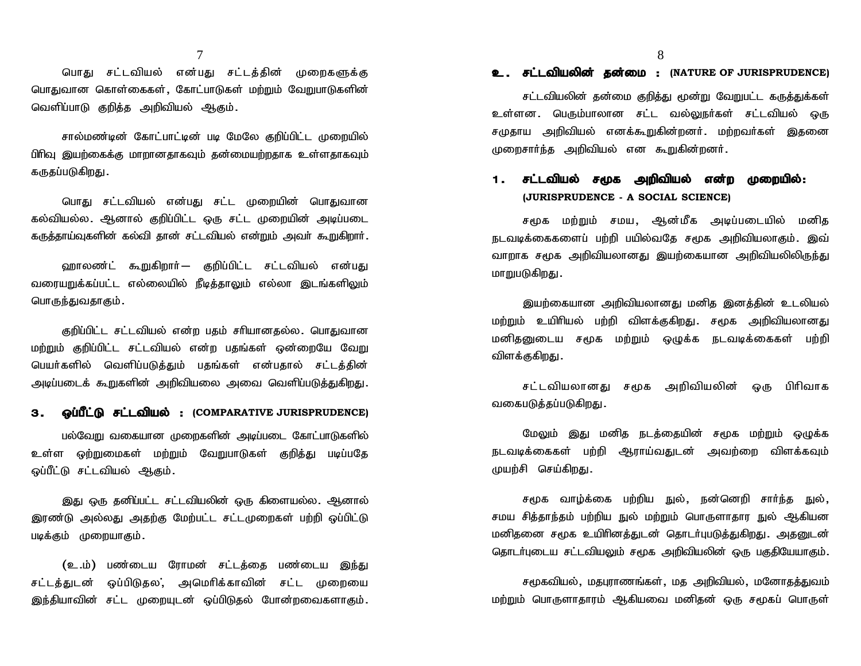7<br>பொது சட்டவியல் என்பது சட்டத்தின் முறைகளுக்கு<br>வான கொள்கைகள்,கோட்பாடுகள் மற்றும் வேறுபாடுகளின் பொதுவான கொள்கைகள், கோட்பாடுகள் மற்றும் வேறுபாடுகளி<mark>ன்</mark> 7<br>பொது சட்டவியல் என்பது சட்டத்தின் முறைக<br>பொதுவான கொள்கைகள்,கோட்பாடுகள் மற்றும் வேறுபாடு<br>வெளிப்பாடு குறித்த அறிவியல் ஆகும். பொது சட்டவியல் என்பது சட்டத்தின் முறைகளுக்கு<br>வான கொள்கைகள், கோட்பாடுகள் மற்றும் வேறுபாடுகளின்<br>`!ப்பாடு குறித்த அறிவியல் ஆகும்.<br>சால்மண்டின் கோட்பாட்டின் படி மேலே குறிப்பிட்ட முறையில்

பிரிவு இயற்கைக்கு மாறானதாகவும் தன்மையற்றதாக உள்ளதாகவும் வெளிப்பாடு குறித்த அறிவியல் ஆகும்.<br>சால்மண்டின் கோட்பாட்டின் படி மேலே குறிப்பிட்ட முறையில்<br>பிரிவு இயற்கைக்கு மாறானதாகவும் தன்மையற்றதாக உள்ளதாகவும்<br>கருதப்படுகிறது.<br>பொது சட்டவியல் என்பது சட்ட முறையின் பொதுவான சால்மண்டின் கோட்பாட்டின் படி மேலே குறிப்பிட்ட முறையில்<br>இயற்கைக்கு மாறானதாகவும் தன்மையற்றதாக உள்ளதாகவும்<br>படுகிறது<br>பொது சட்டவியல் என்பது சட்ட முறையின் பொதுவான<br>யல்ல. ஆனால் குறிப்பிட்ட ஒரு சட்ட முறையின் அடிப்படை

பிரிவு இயற்கைக்கு மாறானதாகவும் தன்மையற்றதாக உள்ளதாகவும்<br>கருதப்படுகிறது .<br>பொது சட்டவியல் என்பது சட்ட முறையின் பொதுவான<br>கல்வியல்ல .ஆனால் குறிப்பிட்ட ஒரு சட்ட முறையின் அடிப்படை<br>கருத்தாய்வுகளின் கல்வி தான் சட்டவியல் என்றும் அவ பொது சட்டவியல் என்பது சட்ட முறையின் பொதுவான<br>யல்ல. ஆனால் குறிப்பிட்ட ஒரு சட்ட முறையின் அடிப்படை<br>ாய்வுகளின் கல்வி தான் சட்டவியல் என்றும் அவா் கூறுகிறாா்.<br>ஹாலண்ட் கூறுகிறாா்— குறிப்பிட்ட சட்டவியல் என்பது<br>பறுக்கப்பட்ட எல்

கல்வியல்ல. ஆனால் குறிப்பிட்ட ஒரு சட்ட முறையின் அடிப்படை<br>கருத்தாய்வுகளின் கல்வி தான் சட்டவியல் என்றும் அவா் கூறுகிறாா்.<br>ஹாலண்ட் கூறுகிறாா்— குறிப்பிட்ட சட்டவியல் என்பது<br>வரையறுக்கப்பட்ட எல்லையில் நீடித்தாலும் எல்லா இடங பொருந்துவதாகும்.

குறிப்பிட்ட சட்டவியல் என்ற பதம் சரியானதல்ல. பொதுவான வரையறுக்கப்பட்ட எல்லையில் நீடித்தாலும் எல்லா இடங்களிலும்<br>பொருந்துவதாகும்<br>குறிப்பிட்ட சட்டவியல் என்ற பதம் சாியானதல்ல. பொதுவான<br>மற்றும் குறிப்பிட்ட சட்டவியல் என்ற பதங்கள் ஒன்றையே வேறு<br>பெயர்களில் வெளிப்படுத்தும் பதங்கள் என்பத பொருந்துவதாகும்<br>குறிப்பிட்ட சட்டவியல் என்ற பதம் சாியானதல்ல. பொதுவான<br>மற்றும் குறிப்பிட்ட சட்டவியல் என்ற பதங்கள் ஒன்றையே வேறு<br>பெயா்களில் வெளிப்படுத்தும் பதங்கள் என்பதால் சட்டத்தின்<br>அடிப்படைக் கூறுகளின் அறிவியலை அவை வெளி அடிப்படைக் கூறுகளின் அறிவியலை அவை வெளிப்படுத்துகிறது. - குறிப்பிட்ட சட்டவியல் என்ற பதம் சாயானதலை. பொதுவான்<br>மற்றும் குறிப்பிட்ட சட்டவியல் என்ற பதங்கள் ஒன்றையே வேறு<br>பெயர்களில் வெளிப்படுத்தும் பதங்கள் என்பதால் சட்டத்தின்<br>அடிப்படைக் கூறுகளின் அறிவியலை அவை வெளிப்படுத்துகிறது.<br>**3.** 

பல்வேறு வகையான முறைகளின் அடிப்படை கோட்பாடுகளில் அடிப்படைக் கூறுகளின் அறிவியலை அவை வெளிப்படுத்துகிறது.<br>**3. ஒப்பீட்டு சட்டவியல் : (COMPARATIVE JURISPRUDENCE)**<br>பல்வேறு வகையான முறைகளின் அடிப்படை கோட்பாடுகளில்<br>உள்ள ஒற்றுமைகள் மற்றும் வேறுபாடுகள் குறித்து படிப்பதே<br>ஒப்பீட்டு **3. ஒப்பீட்டு சட்டவியல் :** (COMPARATIVE JURISPRUDENCE)<br>பல்வேறு வகையான முறைகளின் அடிப்படை கோட்பாடுகளில்<br>உள்ள ஒற்றுமைகள் மற்றும் வேறுபாடுகள் குறித்து படிப்பதே<br>ஒப்பீட்டு சட்டவியல் ஆகும்.

இது ஒரு தனிப்பட்ட சட்டவியலின் ஒரு கிளையல்ல. ஆனால் உள்ள ஒற்றுமைகள் மற்றும் வேறுபாடுகள் குறித்து படிப்பதே<br>ஒப்பீட்டு சட்டவியல் ஆகும்.<br>இது ஒரு தனிப்பட்ட சட்டவியலின் ஒரு கிளையல்ல. ஆனால்<br>இரண்டு அல்லது அதற்கு மேற்பட்ட சட்டமுறைகள் பற்றி ஒப்பிட்டு<br>படிக்கும் முறையாகும். இரண்டு அல்லது அதற்கு மேற்பட்ட சட்டமுறைகள் பற்றி ஒப்பிட்டு<br>படிக்கும் முறையாகும்<br>( உ.ம்) பண்டைய ரோமன் சட்டக்கை பண்டைய இந்து இது ஒரு தனிப்பட்ட சட்டவியலின் ஒரு கிளையல்ல. ஆனால்<br>'டு அல்லது அதற்கு மேற்பட்ட சட்டமுறைகள் பற்றி ஒப்பிட்டு<br>ம் முறையாகும்.<br>(உ.ம்) பண்டைய ரோமன் சட்டத்தை பண்டைய இந்து<br>துடன் ஒப்பிடுதல,் அமெரிக்காவின் சட்ட முறையை

சட்டத்துடன் ஒப்பிடுதல,் அமெரிக்காவின் சட்ட முறையை<br>இந்தியாவின் சட்ட முறையுடன் ஒப்பிடுதல் போன்றவைகளாகும். படிக்கும் முறையாகும்.<br>(உ.ம்) பண்டைய ரோமன் சட்டத்தை பண்டைய இந்து<br>சட்டத்துடன் ஒப்பிடுதல, அமெரிக்காவின் சட்ட முறையை<br>இந்தியாவின் சட்ட முறையுடன் ஒப்பிடுதல் போன்றவைகளாகும்.

# **உ . சட்டவியலின் தன்மை :**<br>| (NATURE OF JURISPRUDENCE)<br>| சட்டவியலின் கன்மை காிக்கட மன்று வோயட்ட காக்குக்கள்

சட்டவியலின் தன்மை குறித்து மூன்று வேறுபட்ட கருத்துக்கள் 8<br>**உ. சட்டவியலின் தன்மை :** (NATURE OF JURISPRUDENCE)<br>சட்டவியலின் தன்மை குறித்து மூன்று வேறுபட்ட கருத்துக்கள்<br>உள்ளன. பெரும்பாலான சட்ட வல்லுநா்கள் சட்டவியல் ஒரு<br>சமுதாய அறிவியல் எனக்கூறுகின்றனா். மற்றவா்கள் இதனை **உ . சட்டவியலின் தன்மை :** (NATURE OF JURISPRUDENCE)<br>சட்டவியலின் தன்மை குறித்து மூன்று வேறுபட்ட கருத்துக்கள்<br>உள்ளன . பெரும்பாலான சட்ட வல்லுநா்கள் சட்டவியல் ஒரு<br>சமுதாய அறிவியல் எனக்கூறுகின்றனா். மற்றவா்கள் இதனை<br>முறைசாா்ந்த முறைசார்ந்த அறிவியல் என கூறுகின்றனர். சட்டவங்கல் தலாவை குறத்து குன்று கைறுபட்ட கருத்துக்கள்<br>உள்ளன. பெரும்பாலான சட்ட வல்லுநா்கள் சட்டவியல் ஒரு<br>சமுதாய அறிவியல் எனக்கூறுகின்றனா். மற்றவா்கள் இதனை<br>முறைசாா்ந்த அறிவியல் என கூறுகின்றனா்.<br>**1. சட்டவியல் சமூக அறிவியல் எ** 

## **(JURISPRUDENCE - A SOCIAL SCIENCE)**

சார்ந்த அறிவியல் என கூறுகின்றனர்.<br>**சட்டவியல் சமூக அறிவியல் என்ற முறையில்:**<br>(JURISPRUDENCE - A SOCIAL SCIENCE)<br>சமூக மற்றும் சமய, ஆன்மீக அடிப்படையில் மனித<br>க்கைகளைப் பற்றி பயில்வதே சமூக அறிவியலாகும். இவ் **1 .சட்டவியல் சமூக அறிவியல் என்ற முறையில்:**<br>(JURISPRUDENCE - A SOCIAL SCIENCE)<br>சமூக மற்றும் சமய, ஆன்மீக அடிப்படையில் மனித<br>நடவடிக்கைகளைப் பற்றி பயில்வதே சமூக அறிவியலாகும். இவ்<br>வாறாக சமூக அறிவியலானது இயற்கையான அறிவியலிலிருந the CLEMING of CHAR SHIMAND என்ற முறையில்:<br>(JURISPRUDENCE - A SOCIAL SCIENCE)<br>நடவடிக்கைகளைப் பற்றி பயில்வதே சமூக அழப்படையில் மனித<br>நடவடிக்கைகளைப் பற்றி பயில்வதே சமூக அறிவியலாகும். இவ்<br>வாறாக சமூக அறிவியலானது இயற்கையான அறிவி மாறுபடுகிறது.

இயற்கையான அறிவியலானது மனித இனக்கின் உடலியல் வாறாக சமூக அறிவியலானது இயற்கையான அறிவியலிலிருந்து<br>மாறுபடுகிறது .<br>இயற்கையான அறிவியலானது மனித இனத்தின் உடலியல்<br>மற்றும் உயிரியல் பற்றி விளக்குகிறது .சமூக அறிவியலானது<br>மனிதனுடைய சமூக மற்றும் ஒழுக்க நடவடிக்கைகள் பற்றி மாறுபடுகிறது .<br>இயற்கையான அறிவியலானது மனித இனத்தின் உடலியல்<br>மற்றும் உயிரியல் பற்றி விளக்குகிறது .சமூக அறிவியலானது<br>மனிதனுடைய சமூக மற்றும் ஒழுக்க நடவடிக்கைகள் பற்றி<br>விளக்குகிறது . மற்றும் உயிரியல் பற்றி விளக்குகிறது. சமூக அறிவியலானது<br>மனிதனுடைய சமூக மற்றும் ஒழுக்க நடவடிக்கைகள் பற்றி<br>விளக்குகிறது.<br>சட்டவியலானது சமூக அறிவியலின் ஒரு பிரிவாக ) உயிரியல் பற்றி விளக்குகிறது. சமூக அறிவியலானது<br>னுடைய சமூக மற்றும் ஒழுக்க நடவடிக்கைகள் பற்றி<br>குகிறது.<br>சட்டவியலானது சமூக அறிவியலின் ஒரு பிரிவாக<br>படுத்தப்படுகிறது. மனிதனுடைய சமூக மற்றும் ஒழுக்க நடவடிக்கைகள் பற்றி<br>விளக்குகிறது.<br>சட்டவியலானது சமூக அறிவியலின் ஒரு பிரிவாக<br>வகைபடுத்தப்படுகிறது.

<sub>குமாறது</sub>.<br>சட்டவியலானது சமூக அறிவியலின் ஒரு பிரிவாக<br>படுத்தப்படுகிறது.<br>மேலும் இது மனித நடத்தையின் சமூக மற்றும் ஒழுக்க<br>க்கைகள் பற்றி ஆராய்வதுடன் அவற்றை விளக்கவும்

சட்டவியலானது சமூக அறிவியலின் ஒரு பிரிவாக<br>வகைபடுத்தப்படுகிறது.<br>மேலும் இது மனித நடத்தையின் சமூக மற்றும் ஒழுக்க<br>நடவடிக்கைகள் பற்றி ஆராய்வதுடன் அவற்றை விளக்கவும்<br>முயற்சி செய்கிறது. வகைபடுத்தப்படுகிறது .<br>மேலும் இது மனித நடத்<br>நடவடிக்கைகள் பற்றி ஆராய்வ<br>முயற்சி செய்கிறது . மேலும் இது மனித நடத்தையின் சமூக மற்றும் ஒழுக்க<br>க்கைகள் பற்றி ஆராய்வதுடன் அவற்றை விளக்கவும்<br>F! செய்கிறது.<br>சமூக வாழ்க்கை பற்றிய நுல், நன்னெறி சார்ந்த நுல்,<br>சித்தாந்தம் பற்றிய நுல் மற்றும் பொருளாதார நுல் ஆகியன

நடவடிக்கைகள் பற்றி ஆராய்வதுடன் அவற்றை விளக்கவும்<br>முயற்சி செய்கிறது.<br>சமூக வாழ்க்கை பற்றிய நுல், நன்னெறி சார்ந்த நுல்,<br>சமய சித்தாந்தம் பற்றிய நுல் மற்றும் பொருளாதார நுல் ஆகியன<br>மனிதனை சமூக உயிரினத்துடன் தொடர்புபடுத்துகிறது. மனிதனை சமூக உயிரினத்துடன் தொடர்புபடுத்துகிறது. அதனுடன்<br>தொடர்புடைய சட்டவியலும் சமூக அறிவியலின் ஒரு பகுதியேயாகும்.<br>சமூகவியல், மதபுராணங்கள், மத அறிவியல், மனோதத்துவம்<br>மற்றும் பொருளாதாரம் ஆகியவை மனிதன் ஒரு சமூகப் பொருள் தொடர்புடைய சட்டவியலும் சமூக அறிவியலின் ஒரு பகுதியேயாகும்.

சமூகவியல், மதபுராணங்கள், மத அறிவியல், மனோதத்துவம்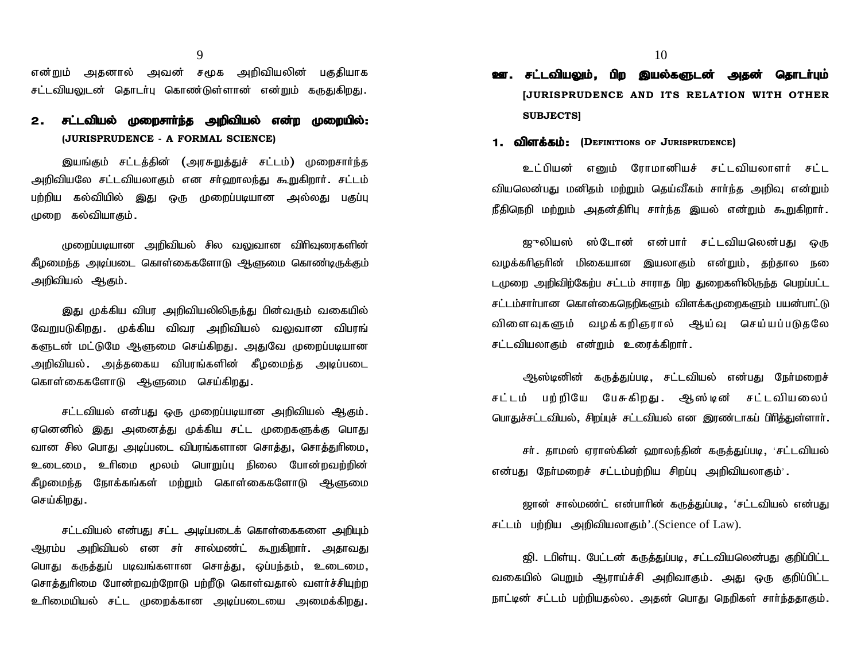9<br>என்றும் அதனால் அவன் சமூக அறிவியலின் பகுதியாக<br>சட்டவியலுடன் தொடர்பு கொண்டுள்ளான் என்றும் கருதுகிறது. 9<br>என்றும் அதனால் அவன் சமூக அறிவியலின் பகுதியாக<br>சட்டவியலுடன் தொடர்பு கொண்டுள்ளான் என்றும் கருதுகிறது.

## 2. **சட்டவியல் முறைசார்ந்த அறிவியல் என்ற முறையில்: (JURISPRUDENCE - A FORMAL SCIENCE)** ilயலுடன் தொடா்பு கொண்டுள்ளான் என்றும் கருதுகிறது.<br>**சட்டவியல் முறைசாா்ந்த அறிவியல் என்ற முறையில்:**<br>(JURISPRUDENCE - A FORMAL SCIENCE)<br>இயங்கும் சட்டத்தின் (அரசுறுத்துச் சட்டம்) முறைசாா்ந்த<br>ilயலே சட்டவியலாகும் என சா்ஹாலந்து

**2. சட்டவியல் முறைசாா்ந்த அறிவியல் என்ற முறையில்:**<br>(JURISPRUDENCE - A FORMAL SCIENCE)<br>இயங்கும் சட்டத்தின் (அரசுறுத்துச் சட்டம்) முறைசாா்ந்த<br>அறிவியலே சட்டவியலாகும் என சா்ஹாலந்து கூறுகிறாா். சட்டம்<br>பற்றிய கல்வியில் இது ஒரு and the propertion of the comparation of the properties.<br>gw figure of Lunder in the properties of the sense of the sense of the equilibrity<br>geodial myster is a figure of the properties of the properties of the properties பல்பிசால்ப்படையிட்ட சி சல்வியக்க<br>இயங்கும் சட்டத்தின் (அரசுறுத்,<br>அறிவியலே சட்டவியலாகும் என சர்ஹ<br>பற்றிய கல்வியில் இது ஒரு முறைட்<br>முறை கல்வியாகும்.

முறைப்படியான அறிவியல் சில வலுவான விரிவுரைகளின்<br>pந்த அடிப்படை கொள்கைகளோடு ஆளுமை கொண்டிருக்கும்<br>ியல் ஆகும்.<br>இது முக்கிய விபர அறிவியலிலிருந்து பின்வரும் வகையில்<br>படுகிறது. முக்கிய விவர அறிவியல் வலுவான விபரங் கீழமைந்த அடிப்படை கொள்கைகளோடு ஆளுமை கொண்டிருக்கும் அறிவியல் ஆகும்.

கீழமைந்த அடிப்படை கொள்கைகளோடு ஆளுமை கொண்டிருக்கும்<br>அறிவியல் ஆகும்.<br>இது முக்கிய விபர அறிவியலிலிருந்து பின்வரும் வகையில்<br>வேறுபடுகிறது. முக்கிய விவர அறிவியல் வலுவான விபரங்<br>களுடன் மட்டுமே ஆளுமை செய்கிறது. அதுவே முறைப்படியான அறிவியல் ஆகும்.<br>இது முக்கிய விபர அறிவியலிலிருந்து பின்வரும் வகையில்<br>வேறுபடுகிறது. முக்கிய விவர அறிவியல் வலுவான விபரங்<br>களுடன் மட்டுமே ஆளுமை செய்கிறது. அதுவே முறைப்படியான<br>அறிவியல். அத்தகைய விபரங்களின் கீழமைந்த அடிப்படை இது முக்கிய விபர அறிவியலிலிருந்து பின்வரும் வகையில்<br>வேறுபடுகிறது. முக்கிய விவர அறிவியல் வலுவான விபரங்<br>களுடன் மட்டுமே ஆளுமை செய்கிறது. அதுவே முறைப்படியான<br>அறிவியல். அத்தகைய விபரங்களின் கீழமைந்த அடிப்படை<br>கொள்கைகளோட இது முக்கிய விபர அறிவியலிலிருந்து பின்வரும் வகையில்<br>வேறுபடுகிறது. முக்கிய விவர அறிவியல் வலுவான விபரங்<br>களுடன் மட்டுமே ஆளுமை செய்கிறது. அதுவே முறைப்படியான<br>அறிவியல். அத்தகைய விபரங்களின் கீழமைந்த அடிப்படை<br>கொள்கைகளோடு ஆளுமை செ ன் மட்டுமே ஆளுமை செய்கிறது. அதுவே முறைப்படியான<br>iியல். அத்தகைய விபரங்களின் கீழமைந்த அடிப்படை<br>'கைகளோடு ஆளுமை செய்கிறது.<br>சட்டவியல் என்பது ஒரு முறைப்படியான அறிவியல் ஆகும்.<br>னில் இது அனைத்து முக்கிய சட்ட முறைகளுக்கு பொது

அறிவியல் .அத்தகைய விபரங்களின் கீழமைந்த அடிப்படை<br>கொள்கைகளோடு ஆளுமை செய்கிறது .<br>சட்டவியல் என்பது ஒரு முறைப்படியான அறிவியல் ஆகும் .<br>ஏனெனில் இது அனைத்து முக்கிய சட்ட முறைகளுக்கு பொது<br>வான சில பொது அடிப்படை விபரங்களான சொத்து, ச சட்டவியல் என்பது ஒரு முறைப்படியான அறிவியல் ஆகும்.<br>ஏனெனில் இது அனைத்து முக்கிய சட்ட முறைகளுக்கு பொது<br>வான சில பொது அடிப்படை விபரங்களான சொத்து, சொத்துரிமை,<br>உடைமை, உரிமை மூலம் பொறுப்பு நிலை போன்றவற்றின்<br>கீழமைந்த நோக்கங்கள் மற சட்டவியல் என்பது ஒரு முறைப்படியான அறிவியல் ஆகும்.<br>ஏனெனில் இது அனைத்து முக்கிய சட்ட முறைகளுக்கு பொது<br>வான சில பொது அடிப்படை விபரங்களான சொத்து, சொத்துரிமை,<br>உடைமை, உரிமை மூலம் பொறுப்பு நிலை போன்றவற்றின்<br>கீழமைந்த நோக்கங்கள் மற ஏனெனில் இது அனை<br>வான சில பொது அடிப்ப<br>உடைமை, உரிமை <sub>(</sub><br>கீழமைந்த நோக்கங்கள்<br>செய்கிறது.

சட்டவியல் என்பது சட்ட அடிப்படைக் கொள்கைகளை அறியும் ஆரம்ப அறிவியல் என சா் சால்மண்ட் கூறுகிறாா். அதாவது செய்கிறது .<br>சட்டவியல் என்பது சட்ட அடிப்படைக் கொள்கைகளை அறியும்<br>ஆரம்ப அறிவியல் என சா் சால்மண்ட் கூறுகிறாா். அதாவது<br>பொது கருத்துப் படிவங்களான சொத்து ,ஒப்பந்தம் ,உடைமை ,<br>சொத்துரிமை போன்றவற்றோடு பற்றீடு கொள்வதால் வளா்ச்சியுற் சட்டவியல் என்பது சட்ட அடிப்படைக் கொள்கைகளை அறியும்<br>ஆரம்ப அறிவியல் என சா் சால்மண்ட் கூறுகிறாா். அதாவது<br>பொது கருத்துப் படிவங்களான சொத்து, ஒப்பந்தம், உடைமை,<br>சொத்துாிமை போன்றவற்றோடு பற்றீடு கொள்வதால் வளா்ச்சியுற்ற<br>உாிமையியல் சட்டவியல் என்பது சட்ட அடிப்படைக் கொள்கைகளை அறியும்<br>ஆரம்ப அறிவியல் என சா் சால்மண்ட் கூறுகிறாா். அதாவது<br>பொது கருத்துப் படிவங்களான சொத்து, ஒப்பந்தம், உடைமை,<br>சொத்துரிமை போன்றவற்றோடு பற்றீடு கொள்வதால் வளா்ச்சியுற்ற<br>உரிமையியல்

# $10$ <br>**ஊ. சட்டவியலும், பிற இயல்களுடன் அதன் தொடர்பும்**<br>[JURISPRUDENCE AND ITS RELATION WITH OTHER **[JURISPRUDENCE AND ITS RELATION WITH OTHER SUBJECTS] 24. சட்டவியலும், பிற இயல்களுடன் அதன்**<br>[JURISPRUDENCE AND ITS RELATION W<br>SUBJECTS]<br>1. **விளக்கம்:** (Definitions of Jurisprudence)<br>இட்<sup>டுயுள்</sup> செய்த் சோமானியர் நட்டவிய

புபடிபாகிசிப்பிட்டை AND ITS RELATION WITH OTHER<br>SUBJECTS]<br>பிளக்கம்: (Derinitions or Jurisprudence)<br>உட்பியன் எனும் ரோமானியச் சட்டவியலாளர் சட்ட<br>லன்பகடமனிகம் மற்றும் கெய்வீகம் சார்ந்க அறிவ என்றும் **1. விளக்கம்: (D**erinitions or Jurisprudence)<br>உட்பியன் எனும் ரோமானியச் சட்டவியலாளர் சட்ட<br>வியலென்பது மனிதம் மற்றும் தெய்வீகம் சார்ந்த அறிவு என்றும்<br>நீகிநெறி மற்றும் அகன்கிரிபு சார்ந்க இயல் என்றும் கூறுகிறார். **1. விளக்கம்: (D**ermrrions or **J**urisprudence)<br>உட்பியன் எனும் ரோமானியச் சட்டவியலாளர் சட்ட<br>வியலென்பது மனிதம் மற்றும் தெய்வீகம் சார்ந்த அறிவு என்றும்<br>நீதிநெறி மற்றும் அதன்திரிபு சார்ந்த இயல் என்றும் கூறுகிறார். உடபியன எனும ரோமானியச சடடவியலாளா சடட<br>லன்பது மனிதம் மற்றும் தெய்வீகம் சார்ந்த அறிவு என்றும்<br>றி மற்றும் அதன்திரிபு சார்ந்த இயல் என்றும் கூறுகிறார்.<br>ஜுலியஸ் ஸ்டோன் என்பார் சட்டவியலென்பது ஒரு<br>எினின் மிகையான இயலாகம் என்றும். கற

வழக்கரிஞரின் மிகையான இயலாகும் என்றும், தற்தால நடை டமுறை அறிவிற்கேற்ப சட்டம் சாராத பிற துறைகளிலிருந்த பெறப்பட்ட சட்டம்சாா்பான கொள்கைநெறிகளும் விளக்கமுறைகளும் பயன்பாட்டு வழக்கரிஞரின் மிகையான இயலாகும் என்றும், தற்தால நகை<br>டமுறை அறிவிற்கேற்பசட்டம் சாராத பிற துறைகளிலிருந்த பெறப்பட்ட<br>சட்டம்சார்பான கொள்கைநெறிகளும் விளக்கமுறைகளும் பயன்பாட்டு<br>விளைவுகளும் வழக்கறிஞரால் ஆய்வு செய்யப்படுதலே<br>சட்டவியலா டமுறை அறிவிற்கேற்ப சட்டம் சாராத பிற துறைகளிலிருந்த வே<br>சட்டம்சாா்பான கொள்கைநெறிகளும் விளக்கமுறைகளும் பய<br>விளைவுகளும் வழக்கறிஞரால் ஆய்வு செய்யப்ப<br>சட்டவியலாகும் என்றும் உரைக்கிறாா். சாாபான கொளகைநெறிகளும விளக்கமுறைகளும் பயன்பாட்டு<br>ாவுகளும் வழக்கறிஞரால் ஆய்வு செய்யப்படுதலே<br>1ியலாகும் என்றும் உரைக்கிறார்.<br>ஆஸ்டினின் கருத்துப்படி, சட்டவியல் என்பது நேர்மறைச்<br>6 பற்றியே பேசுகிறகு. அல்டின் சட்டவியலைப் விளைவுகளும் வழக்கறிஞரால் ஆய்வு செய்யப்படுதலே<br>சட்டவியலாகும் என்றும் உரைக்கிறார்.<br>ஆஸ்டினின் கருத்துப்படி, சட்டவியல் என்பது நேர்மறைச்<br>சட்டம் பற்றியே பேசுகிறது. ஆஸ்டின் சட்டவியலைப்

பொதுச்சட்டவியல், சிறப்புச் சட்டவியல் என இரண்டாகப் பிரித்துள்ளார்.

சர். தாமஸ் ஏராஸ்கின் ஹாலந்தின் கருத்துப்படி, 'சட்டவியல் சடடம பறறியே பேசுகிறது. ஆஸ்டின சடடவியலைப்<br>பொதுச்சட்டவியல், சிறப்புச் சட்டவியல் என இரண்டாகப் பிரித்துள்ளாா்.<br>சா். தாமஸ் ஏராஸ்கின் ஹாலந்தின் கருத்துப்படி, 'சட்டவியல்<br>என்பது நோ்மறைச் சட்டம்பற்றிய சிறப்பு அறிவியலாகும்'.

ஜான் சால்மண்ட் என்பாரின் கருத்துப்படி, 'சட்டவியல் என்பது rண்பது நோ்மறைச் சட்டம்பற்றிய சிறப்பு அறிவியலாகும்'.<br>ஜான் சால்மண்ட் என்பாாின் கருத்துப்படி, 'சட்டவியல்<br>சட்டம் பற்றிய அறிவியலாகும்'.(Science of Law).

ஜி. டபிள்யு. பேட்டன் கருத்துப்படி, சட்டவியலென்பது குறிப்பிட்ட ஜான சாலமணட எனபாான கருத்துப்படி, `சட்டவியல் என்பது<br>சட்டம் பற்றிய அறிவியலாகும்`.(Science of Law).<br>ஜி. டபிள்யு. பேட்டன் கருத்துப்படி, சட்டவியலென்பது குறிப்பிட்ட<br>வகையில் பெறும் ஆராய்ச்சி அறிவாகும். அது ஒரு குறிப்பிட்ட நாட்டின் சட்டம் பற்றியதல்ல. அதன் பொது நெறிகள் சார்ந்ததாகும்.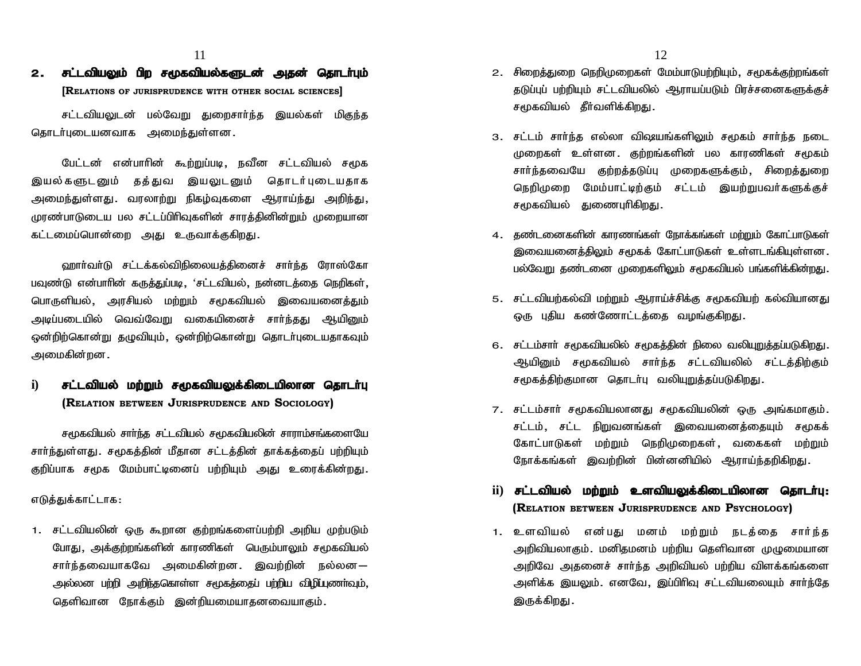## 2. **சட்டவியலும் பிற சமூகவியல்களுடன் அதன் தொடர்பும் [RELATIONS OF JURISPRUDENCE WITH OTHER SOCIAL SCIENCES]**

11<br>**சட்டவியலும் பிற சமூகவியல்களுடன் அதன் தொடா்பும்**<br>[RELATIONS OF JURISPRUDENCE WITH OTHER SOCIAL SCIENCES]<br>சட்டவியலுடன் பல்வேறு துறைசாா்ந்த இயல்கள் மிகுந்த<br>r்புடையனவாக அமைந்துள்ளன. கொடர்படையனவாக அமைந்குள்ளன.

**[R**elations or Jurisprudence with other social sciences]<br>சட்டவியலுடன் பல்வேறு துறைசார்ந்த இயல்கள் மிகுந்த<br>iபுடையனவாக அமைந்துள்ளன.<br>பேட்டன் என்பாரின் கூற்றுப்படி, நவீன சட்டவியல் சமூக<br>களுடனும் தத்துவ இயலுடனும் சட்டவியலுடன் பல்வேறு துறைசார்ந்த இயல்கள் மிகுந்த<br>தொடர்புடையனவாக அமைந்துள்ளன.<br>இயல்களுடனும் தத்துவ இயலுடனும் தொடர்புடையதாக<br>இயல்களுடனும் தத்துவ இயலுடனும் தொடர்புடையதாக<br>அமைந்துள்ளது. வரலாற்று நிகழ்வுகளை ஆராய்ந்து அறிந்து, தொடர்புடையனவாக அமைந்துள்ளன.<br>மேட்டன் என்பாரின் கூற்றுப்படி, நவீன சட்டவியல் சமூக<br>இயல்களுடனும் தத்துவ இயலுடனும் தொடர்புடையதாக<br>அமைந்துள்ளது. வரலாற்று நிகழ்வுகளை ஆராய்ந்து அறிந்து,<br>முரண்பாடுடைய பல சட்டப்பிரிவுகளின் சாரத்தினின் முரண்பாடுடைய பல சட்டப்பிரிவுகளின் சாரக்கினின்றும் முறையான பேட்டன் என்பாரின் கூற்றுப்படி, நவீன சட்<br>இயல்களுடனும் தத்துவ இயலுடனும் தொ<br>அமைந்துள்ளது. வரலாற்று நிகழ்வுகளை ஆராட<br>முரண்பாடுடைய பல சட்டப்பிரிவுகளின் சாரத்தினின்<br>கட்டமைப்பொன்றை அது உருவாக்குகிறது.

ஹார்வர்டு சட்டக்கல்விநிலையத்தினைச் சார்ந்த ரோஸ்கோ பவுண்டு என்பாரின் கருத்துப்படி, 'சட்டவியல், நன்னடத்தை நெறிகள், பொருளியல், அரசியல் மற்றும் சமூகவியல் இவையனைத்தும் அடிப்படையில் வெவ்வேறு வகையினைச் சார்ந்தது ஆயினும் ஒன்றிற்கொன்று தழுவியும், ஒன்றிற்கொன்று தொடர்புடையதாகவும் mikfpd ;wd. <sub>காரு</sub>ள்கை நிலை மந்தும் எருக்கைக்கு திரையில் வெவ்வேறு வகையினைச் சார்ந்தது ஆயினும்<br>ஒன்றிற்கொன்று தழுவியும், ஒன்றிற்கொன்று தொடர்புடையதாகவும்<br>அமைகின்றன .<br>**i) சட்டவியல் மற்றும் சமூகவியலுக்கிடையிலான தொடர்பு**<br>**(RELATION BETWEEN** 

## **(RELATION BETWEEN JURISPRUDENCE AND SOCIOLOGY)**

சமூகவியல் சார்ந்த சட்டவியல் சமூகவியலின் சாராம்சங்களையே சாா்ந்துள்ளது. சமூகத்தின் மீதான சட்டத்தின் தாக்கத்தைப் பற்றியும் (RELATION BETWEEN JURISPRUDENCE AND SOCIOLOGY)<br>சமூகவியல் சார்ந்த சட்டவியல் சமூகவியலின் சாராம்சங்களையே<br>சார்ந்துள்ளது. சமூகத்தின் மீதான சட்டத்தின் தாக்கத்தைப் பற்றியும்<br>குறிப்பாக சமூக மேம்பாட்டினைப் பற்றியும் அது உரைக்கின்ற சமூகவியல் சாா்ந்த சட்டவிய<br>சாா்ந்துள்ளது .சமூகத்தின் மீதா $\sigma$ குறிப்பாக சமூக மேம்பாட்டினைப்<br>குறிப்பாக சமூக மேம்பாட்டினைப்<br>எடுத்துக்காட்டாக

1. சட்டவியலின் ஒரு கூறான குற்றங்களைப்பற்றி அறிய முற்படும் போது, அக்குற்றங்களின் காரணிகள் பெரும்பாலும் சமூகவியல் iதுக்காட்டாக :<br>சட்டவியலின் ஒரு கூறான குற்றங்களைப்பற்றி அறிய முற்படும்<br>போது, அக்குற்றங்களின் காரணிகள் பெரும்பாலும் சமூகவியல்<br>சாா்ந்தவையாகவே அமைகின்றன . இவற்றின் நல்லன—<br>அல்லன பற்றி அறிந்தகொள்ள சமூகத்தைப் பற்றிய விழிபுணா அல்லன பற்றி அறிந்தகொள்ள சமூகத்தைப் பற்றிய விழிப்புணர்வும், தெளிவான நோக்கும் இன்றியமையாதனவையாகும்.

- 2. சிறைத்துறை நெறிமுறைகள் மேம்பாடுபற்றியும், சமூகக்குற்றங்கள் தடுப்புப் பற்றியும் சட்டவியலில் ஆராயப்படும் பிரச்சனைகளுக்குச் சமூகவியல் தீர்வளிக்கிறது.
- 3. சட்டம் சார்ந்த எல்லா விஷயங்களிலும் சமூகம் சார்ந்த நடை முறைகள் உள்ளன. குற்றங்களின் பல காரணிகள் சமூகம் ் -<br>சமூகவியல் தீர்வளிக்கிறது.<br>சட்டம் சார்ந்த எல்லா விஷயங்களிலும் சமூகம் சார்ந்த நடை<br>முறைகள் உள்ளன. குற்றங்களின் பல காரணிகள் சமூகம்<br>சார்ந்தவையே குற்றத்தடுப்பு முறைகளுக்கும், சிறைத்துறை<br>நெறிமுறை மேம்பாட்டிற்கும் சட்டம் இயற் ு<br>சட்டம் சாா்ந்த எல்லா விஷயங்களிலும் சமூகம் சாா்ந்த நடை<br>முறைகள் உள்ளன. குற்றங்களின் பல காரணிகள் சமூகம்<br>சாா்ந்தவையே குற்றத்தடுப்பு முறைகளுக்கும், சிறைத்துறை<br>தெறிமுறை மேம்பாட்டிற்கும் சட்டம் இயற்றுபவா்களுக்குச்<br>சமூகவியல் து சமூகவியல் துணைபுரிகிறது.
- 4. தண்டனைகளின் காரணங்கள் நோக்கங்கள் மற்றும் கோட்பாடுகள் இவையனைத்திலும் சமூகக் கோட்பாடுகள் உள்ளடங்கியுள்ளன. பல்வேறு தண்டனை முறைகளிலும் சமூகவியல் பங்களிக்கின்றது.
- 5. சட்டவியற்கல்வி மற்றும் ஆராய்ச்சிக்கு சமூகவியற் கல்வியானது ஒரு புதிய கண்ணோட்டத்தை வழங்குகிறது.
- 6. சட்டம்சார் சமூகவியலில் சமூகத்தின் நிலை வலியுறுத்தப்படுகிறது. சட்டவியற்கல்வி மற்றும் ஆராய்ச்சிக்கு சமூகவியற் கல்வியானது<br>ஒரு புதிய கண்ணோட்டத்தை வழங்குகிறது.<br>சட்டம்சாா் சமூகவியலில் சமூகத்தின் நிலை வலியுறுத்தப்படுகிறது.<br>ஆயினும் சமூகவியல் சாா்ந்த சட்டவியலில் சட்டத்திற்கும்<br>சமூகத்திற சமூகத்திற்குமான தொடர்பு வலியுறுத்தப்படுகிறது.
- 7. சட்டம்சாா் சமூகவியலானது சமூகவியலின் ஒரு அங்கமாகும். சட்டம், சட்ட நிறுவனங்கள் இவையனைக்கையும் சமூகக் சமூகத்திற்குமான தொடா்பு வலியுறுத்தப்படுகிறது.<br>சட்டம்சாா் சமூகவியலானது சமூகவியலின் ஒரு அங்கமாகும்.<br>சட்டம், சட்ட நிறுவனங்கள் இவையனைத்தையும் சமூகக்<br>கோட்பாடுகள் மற்றும் நெறிமுறைகள், வகைகள் மற்றும்<br>நோக்கங்கள் இவற்றின் பின்னனிய நோக்கங்கள் இவற்றின் பின்னனியில் ஆராய்ந்தறிகிறது. r ; சட்டம்சார் சமூகவியலானது சமூகவியலான ஒரு அங்கமாகும் .<br>சட்டம், சட்ட நிறுவனங்கள் இவையனைத்தையும் சமூகக்<br>கோட்பாடுகள் மற்றும் நெறிமுறைகள், வகைகள் மற்றும்<br>நோக்கங்கள் இவற்றின் பின்னனியில் ஆராய்ந்தறிகிறது .<br>**ii) சட்டவியல் மற்று**
- **(RELATION BETWEEN JURISPRUDENCE AND PSYCHOLOGY)** நோக்கங்கள் இவற்றின் பின்னனியில் ஆராய்ந்தறிகிறது.<br>**ii) சட்டவியல் மற்றும் உளவியலுக்கிடையிலான தொடா்பு:**<br>**(R**ELATION BETWEEN JURISPRUDENCE AND **P**SYCHOLOGY)<br>1. உளவியல் என்பது மனம் மற்றும் நடத்தை சாா்ந்த<br>அறிவியலாகும். மனிதமனம்
- அறிவியலாகும். மனிதமனம் பற்றிய தெளிவான முழுமையான **சட்டவாயல் மற்றும் உள்வாயலுக்கிடையாலான தொடாபு:**<br>(Relation between Jurisprudence and Psychology)<br>உளவியல் என்பது மனம் மற்றும் நடத்தை சார்ந்த<br>அறிவியலாகும். மனிதமனம் பற்றிய தெளிவான முழுமையான<br>அறிவே அதனைச் சார்ந்த அறிவியல் பற்ற அளிக்க இயலும். எனவே, இப்பிரிவு சட்டவியலையும் சார்ந்தே உளவியல் என்பது ம<br>அறிவியலாகும். மனிதமன<br>அறிவே அதனைச் சாா்ந்<br>அளிக்க இயலும். எனவே<br>இருக்கிறது.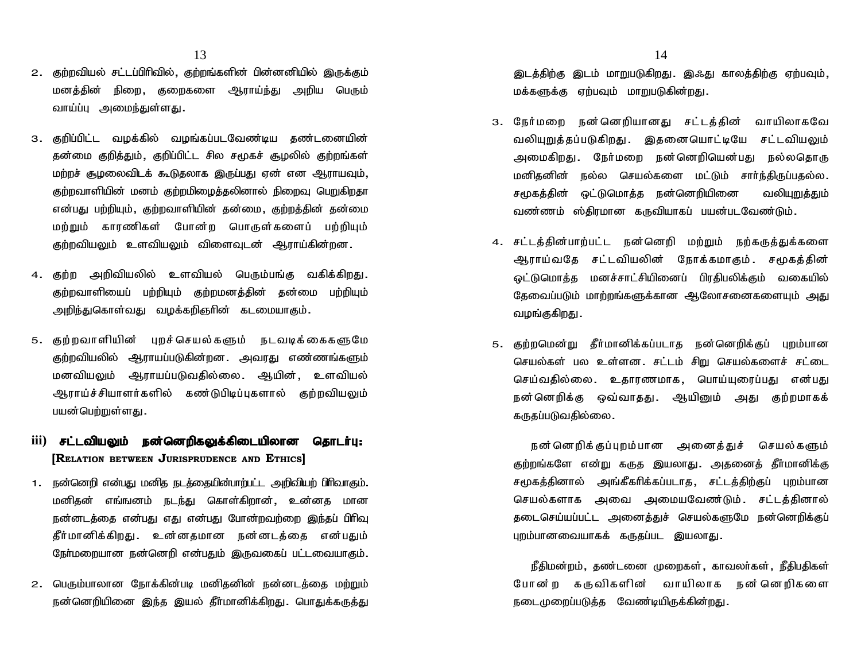- 2. குற்றவியல் சட்டப்பிரிவில், குற்றங்களின் பின்னனியில் இருக்கும் மனத்தின் நிறை, குறைகளை ஆராய்ந்து அறிய பெரும் வாய்ப்பு அமைந்துள்ளது. 2. குற்றவியல் சட்டப்பிரிவில், குற்றங்களின் பின்னனியில் இருக்கும்<br>மனத்தின் நிறை, குறைகளை ஆராய்ந்து அறிய பெரும்<br>வாய்ப்பு அமைந்துள்ளது.<br>3. குறிப்பிட்ட வழக்கில் வழங்கப்படவேண்டிய தண்டனையின்<br>தன்மை குறித்தும், குறிப்பிட்ட சில சம
- 3. குறிப்பிட்ட வழக்கில் வழங்கப்படவேண்டிய தண்டனையின்<br>- தன்மை குறித்தும், குறிப்பிட்ட சில சமூகச் சூழலில் குற்றங்கள் மற்றச் சூழலைவிடக் கூடுகலாக இருப்பது ஏன் என ஆராயவும். குற்றவாளியின் மனம் குற்றமிழைத்தலினால் நிறைவு பெறுகிறதா என்பது பற்றியும், குற்றவாளியின் தன்மை, குற்றத்தின் தன்மை தன்மை குறித்தும், குறிப்பிட்ட சில சமூகச் சூழலில் குற்றங்கள்<br>மற்றச் சூழலைவிடக் கூடுதலாக இருப்பது ஏன் என ஆராயவும்,<br>குற்றவாளியின் மனம் குற்றமிழைத்தலினால் நிறைவு பெறுகிறதா<br>என்பது பற்றியும், குற்றவாளியின் தன்மை, குற்றத்தின் தன குற்றவியலும் உளவியலும் விளைவுடன் ஆராய்கின்றன. என்பது பற்றியும், குற்றவாளியின் தன்மை, குற்றத்தின் தன்மை<br>மற்றும் காரணிகள் போன்ற பொருள்களைப் பற்றியும்<br>குற்றவியலும் உளவியலும் விளைவுடன் ஆராய்கின்றன.<br>4. குற்ற அறிவியலில் உளவியல் பெரும்பங்கு வகிக்கிறது.<br>குற்றவாளியைப
- குற்றவாளியைப் பற்றியும் குற்றமனத்தின் தன்மை பற்றியும் அறிந்துகொள்வது வழக்கறிஞரின் கடமையாகும். 4. குற்ற அறிவியலில் உளவியல் பெரும்பங்கு வகிக்கிறது.<br>குற்றவாளியைப் பற்றியும் குற்றமனத்தின் தன்மை பற்றியும்<br>அறிந்துகொள்வது வழக்கறிஞரின் கடமையாகும்.<br>5. குற்றவாளியின் புறச்செயல்களும் நடவடிக்கைகளுமே<br>குற்றவியலில் ஆராயப்படுகின்ற
- குற்றவியலில் ஆராயப்படுகின்றன. அவரது எண்ணங்களும் அறிந்துகொள்வது வழக்கறிஞரின் கடமையாகும்.<br>குற்றவாளியின் புறச்செயல்களும் நடவடிக்கைகளுமே<br>குற்றவியலில் ஆராயப்படுகின்றன. அவரது எண்ணங்களும்<br>மனவியலும் ஆராயப்படுவதில்லை. ஆயின், உளவியல்<br>ஆராய்ச்சியாளர்களில் கண்டுபிடிப்புகளால் குற்றவ குற்றவாளியின் புறச்செயல்களும் நடவடிக்கைகளுமே<br>குற்றவியலில் ஆராயப்படுகின்றன. அவரது எண்ணங்களும்<br>மனவியலும் ஆராயப்படுவதில்லை. ஆயின், உளவியல்<br>ஆராய்ச்சியாளர்களில் கண்டுபிடிப்புகளால் குற்றவியலும்<br>பயன்பெற்றுள்ளது. 5. குற்றவாளியின் புறச்செயல்களும் நடவடிக்கைகளுமே<br>குற்றவியலில் ஆராயப்படுகின்றன. அவரது எண்ணங்களும்<br>மனவியலும் ஆராயப்படுவதில்லை. ஆயின், உளவியல்<br>ஆராய்ச்சியாளர்களில் கண்டுபிடிப்புகளால் குற்றவியலும்<br>பயன்பெற்றுள்ளது.<br>iii) **சட்டவிய** குந்துக்கலை ஆராய்படுவதில்லை. ஆயின், உளவியல்<br>மனவியலும் ஆராயப்படுவதில்லை. ஆயின், உளவியல்<br>ஆராய்ச்சியாளர்களில் கண்டுபிடிப்புகளால் குற்றவியலும்<br>பயன்பெற்றுள்ளது.<br>**iii) சட்டவியலும் நன்னெறிகலுக்கிடையிலான தொடர்பு:**<br>**[R**ELATION BET
- **[RELATION BETWEEN JURISPRUDENCE AND ETHICS]**
- 1. நன்னெறி என்பது மனித நடக்தையின்பாற்பட்ட அறிவியற் பிரிவாகும். மனிதன் எங்ஙனம் <u>நடந்து</u> கொள்கிறான், உன்னத மான நன்னடத்தை என்பது எது என்பது போன்றவற்றை இந்தப் பிரிவு பூடைகாலா மசாலமைக்கையின் பார்க்கு<br>நன்னெறி என்பது மனித நடத்தையின்பாற்பட்ட அறிவியற் பிரிவாகும்.<br>மனிதன் எங்ஙனம் நடந்து கொள்கிறான், உன்னத மான<br>தீர்மானிக்கிறது. உன்னதமான நன்னடத்தை என்பதும்<br>தீர்மானிக்கிறது. உன்னதமான நன்னடத்தை என் நேர்மறையான நன்னெறி என்பதும் இருவகைப் பட்டவையாகும்.
- 2. பெரும்பாலான நோக்கின்படி மனிதனின் நன்னடக்கை மர்மும் நன்னெறியினை இந்த இயல் தீர்மானிக்கிறது. பொதுக்கருத்து

இடத்திற்கு இடம் மாறுபடுகிறது. இஃது காலத்திற்கு ஏற்பவும், மக்களுக்கு ஏற்பவும் மாறுபடுகின்றது.

- திடத்திற்கு இடம் மாறுபடுகிறது. இஃது காலத்திற்கு ஏற்பவும்,<br>மக்களுக்கு ஏற்பவும் மாறுபடுகின்றது.<br>3. நேர்மறை நன்னெறியானது சட்டத்தின் வாயிலாகவே<br>வலியுறுத்தப்படுகிறது. இதனையொட்டியே சட்டவியலும் இடத்திற்கு இடம் மாறுபடுகிறது. இஃது காலத்திற்கு ஏற்பவும்,<br>மக்களுக்கு ஏற்பவும் மாறுபடுகின்றது.<br>நேர்மறை நன்னெறியானது சட்டத்தின் வாயிலாகவே<br>வலியுறுத்தப்படுகிறது. இதனையொட்டியே சட்டவியலும்<br>அமைகிறது. நேர்மறை நன்னெறியென்பது நல்லதொ மக்களுக்கு ஏற்பவும் மாறுபடுகின்றது.<br>நேர்மறை நன்னெறியானது சட்டத்தின் வாயிலாகவே<br>வலியுறுத்தப்படுகிறது. இதனையொட்டியே சட்டவியலும்<br>அமைகிறது. நேர்மறை நன்னெறியென்பது நல்லதொரு<br>மனிதனின் நல்ல செயல்களை மட்டும் சார்ந்திருப்பதல்ல. நேர்மறை நன்னெறியானது சட்டத்தின் வாயிலாகவே<br>வலியுறுத்தப்படுகிறது. இதனையொட்டியே சட்டவியலும்<br>அமைகிறது. நேர்மறை நன்னெறியென்பது நல்லதொரு<br>மனிதனின் நல்ல செயல்களை மட்டும் சார்ந்திருப்பதல்ல.<br>சமூகத்தின் ஒட்டுமொத்த நன்னெறியினை வலியு சமூகத்தின் ஒட்டுமொத்த நன்னெறியினை வலியுறுத்தும் வண்ணம் ஸ்திரமான கருவியாகப் பயன்படவேண்டும். மனிதனின் நல்ல செயல்களை மட்டும் சார்ந்திருப்பதல்ல.<br>சமூகத்தின் ஒட்டுமொத்த நன்னெறியினை வலியுறுத்தும்<br>வண்ணம் ஸ்திரமான கருவியாகப் பயன்படவேண்டும்.<br>4. சட்டத்தின்பாற்பட்ட நன்னெறி மற்றும் நற்கருத்துக்களை<br>ஆராய்வதே சட்டவியலின் நோக்
- சமூகத்தின் ஒட்டுமொத்த நன்னெறியினை வலியுறுத்தும்<br>வண்ணம் ஸ்திரமான கருவியாகப் பயன்படவேண்டும்.<br>சட்டத்தின்பாற்பட்ட நன்னெறி மற்றும் நற்கருத்துக்களை<br>ஆராய்வதே சட்டவியலின் நோக்கமாகும். சமூகத்தின்<br>ஒட்டுமொத்த மனச்சாட்சியினைப் பிரதி வண்ணம் ஸ்திரமான கருவியாகப் பயன்படவேண்டும்.<br>சட்டத்தின்பாற்பட்ட நன்னெறி மற்றும் நற்கருத்துக்களை<br>ஆராய்வதே சட்டவியலின் நோக்கமாகும். சமூகத்தின்<br>ஒட்டுமொத்த மனச்சாட்சியினைப் பிரதிபலிக்கும் வகையில்<br>தேவைப்படும் மாற்றங்களுக்கான ஆலோ தேவைப்படும் மாற்றங்களுக்கான ஆலோசனைகளையும் அது சட்டத்தின்பாற்பட்ட நன்<br>ஆராய்வதே சட்டவியண<br>ஒட்டுமொத்த மனச்சாட்ச்<br>தேவைப்படும் மாற்றங்களு<br>வழங்குகிறது. ஒட்டுமொத்த மனச்சாட்சியினைப் பிரதிபலிக்கும் வகையில்<br>தேவைப்படும் மாற்றங்களுக்கான ஆலோசனைகளையும் அது<br>வழங்குகிறது.<br>5. குற்றமென்று தீா்மானிக்கப்படாத நன்னெறிக்குப் புறம்பான<br>செயல்கள் பல உள்ளன. சட்டம் சிறு செயல்களைச் சட்டை
- தேவைப்படும் மாற்றங்களுக்கான ஆலோசனைகளையும் அது<br>வழங்குகிறது .<br>குற்றமென்று தீர்மானிக்கப்படாத நன்னெறிக்குப் புறம்பான<br>செயல்கள் பல உள்ளன சட்டம் சிறு செயல்களைச் சட்டை<br>செயல்கள் பல உள்ளன சட்டம் சிறு செயல்களைச் சட்டை<br>செய்வதில்ல வழங்குகிறது .<br>குற்றமென்று தீர்மானிக்கப்படாத நன்னெறிக்குப் புறம்பான<br>செயல்கள் பல உள்ளன .சட்டம் சிறு செயல்களைச் சட்டை<br>செய்வதில்லை .உதாரணமாக , பொய்யுரைப்பது என்பது<br>நன்னெறிக்கு ஒவ்வாதது . ஆயினும் அது குற்றமாகக் குற்றமென்று தீர்மானிக்கப்படாத நன்னெறிக்குப் புறம்பான<br>செயல்கள் பல உள்ளன. சட்டம் சிறு செயல்களைச் சட்டை<br>செய்வதில்லை. உதாரணமாக, பொய்யுரைப்பது என்பது<br>நன்னெறிக்கு ஒவ்வாதது. ஆயினும் அது குற்றமாகக்<br>கருதப்படுவதில்லை. கருகப்படுவகில்லை. ப்வதில்லை. உதாரணமாக, பொய்யுரைப்பது என்பது<br>·னெறிக்கு ஒவ்வாதது. ஆயினும் அது குற்றமாகக்<br>தப்படுவதில்லை.<br>நன்னெறிக்குப்புறம்பான அனைத்துச் செயல்களும்<br>றங்களே என்று கருத இயலாது. அதனைத் தீர்மானிக்கு

குற்றங்களே என்று கருத இயலாது. அதனைத் தீர்மானிக்கு கருதப்படுவதில்லை .<br>நன் னெறிக் குப்புறம் பான அனைத்துச் செயல் களும்<br>குற்றங்களே என்று கருத இயலாது . அதனைத் தீர்மானிக்கு<br>சமூகத்தினால் அங்கீகரிக்கப்படாத , சட்டத்திற்குப் புறம்பான<br>செயல்களாக அவை நன் னெறிக் குப்புறம்பான அனைத்துச் செயல் களும்<br>குற்றங்களே என்று கருத இயலாது. அதனைத் தீா்மானிக்கு<br>சமூகத்தினால் அங்கீகாிக்கப்படாத, சட்டத்திற்குப் புறம்பான<br>செயல்களாக அவை அமையவேண்டும். சட்டத்தினால்<br>தடைசெய்யப்பட்ட அனைத்துச் செய நன் னெறிக்குப்புறம்பான அனைத்துச் செயல்களும்<br>குற்றங்களே என்று கருத இயலாது. அதனைத் தீர்மானிக்கு<br>சமூகத்தினால் அங்கீகரிக்கப்படாத, சட்டத்திற்குப் புறம்பான<br>செயல்களாக அவை அமையவேண்டும். சட்டத்தினால்<br>தடைசெய்யப்பட்ட அனைத்துச் செயல் புறம்பானவையாகக் கருதப்பட இயலாது.

நீதிமன்றம், தண்டனை முறைகள், காவலர்கள், நீதிபதிகள் தடைசெய்யப்பட்ட அனைத்துச் செயல்களுமே நன்னெறிக்குப்<br>புறம்பானவையாகக் கருதப்பட இயலாது.<br>நீதிமன்றம், தண்டனை முறைகள், காவலர்கள், நீதிபதிகள்<br>போன்ற கருவிகளின் வாயிலாக நன்னெறிகளை<br>நடைமுறைப்படுத்த வேண்டியிருக்கின்றது. நடைமுறைப்படுக்க வேண்டியிருக்கின்றது.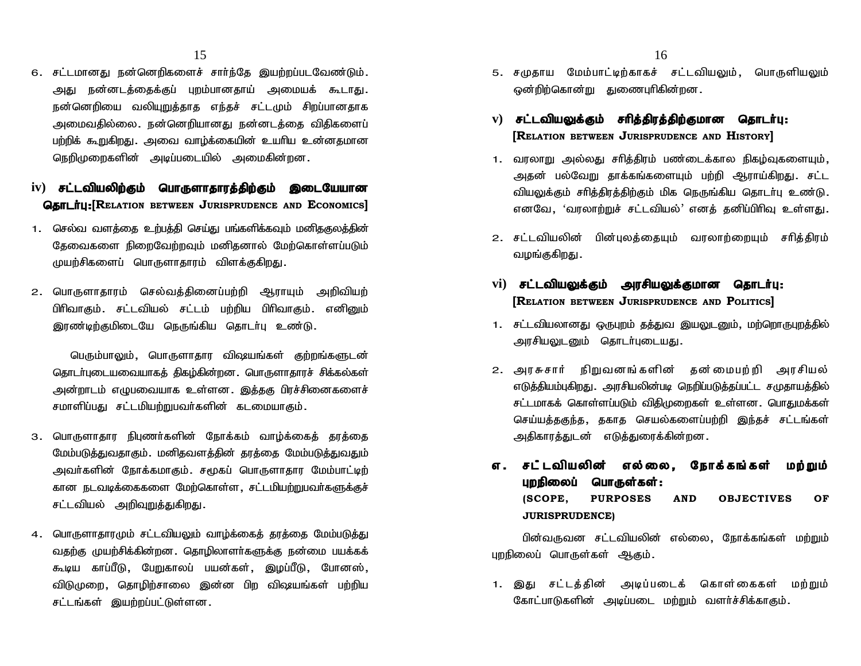15<br>6. சட்டமானது நன்னெறிகளைச் சாா்ந்தே இயற்றப்படவேண்டும்.<br>அது நன்னடத்தைக்குப் புறம்பானதாய் அமையக் கூடாது. சட்டமானது நன்னெறிகளைச் சார்ந்தே இயற்றப்படவேண்டும்.<br>அது நன்னடத்தைக்குப் புறம்பானதாய் அமையக் கூடாது.<br>நன்னெறியை வலியுறுத்தாத எந்தச் சட்டமும் சிறப்பானதாக 15<br>சட்டமானது நன்னெறிகளைச் சாா்ந்தே இயற்றப்படவேண்டும்.<br>அது நன்னடத்தைக்குப் புறம்பானதாய் அமையக் கூடாது.<br>நன்னெறியை வலியுறுத்தாத எந்தச் சட்டமும் சிறப்பானதாக<br>அமைவதில்லை. நன்னெறியானது நன்னடத்தை விதிகளைப் அமைவகில்லை. நன்னெறியானது நன்னடக்கை விகிகளைப் பற்றிக் கூறுகிறது. அவை வாழ்க்கையின் உயரிய உன்னதமான நெறிமுறைகளின் அடிப்படையில் அமைகின்றன. நலங்லிறமை வல்யுறுத்தாக எந்தச் சட்டமும் சுற்ப்பானதாக்<br>அமைவதில்லை. நன்னெறியானது நன்னடத்தை விதிகளைப்<br>பற்றிக் கூறுகிறது. அவை வாழ்க்கையின் உயரிய உன்னதமான<br>நெறிமுறைகளின் அடிப்படையில் அமைகின்றன.<br>**iv) சட்டவியலிற்கும் பொருளாதாரத்தி** அமைவதுல்லை. நன்னெறுயானது நன்னடத்தை வதுகளைப்<br>பற்றிக் கூறுகிறது. அவை வாழ்க்கையின் உயாிய உன்னதமான<br>நெறிமுறைகளின் அடிப்படையில் அமைகின்றன.<br>**iv) சட்டவியலிற்கும் பொருளாதாரத்திற்கும் இடையேயான<br> <b>தொடா்பு:[R**ELATION BETWEEN JURI

- 1. செல்வ வளத்தை உற்பத்தி செய்து பங்களிக்கவும் மனிதகுலத்தின் தேவைகளை நிறைவேற்றவும் மனிதனால் மேற்கொள்ளப்படும் முயற்சிகளைப் பொருளாதாரம் விளக்குகிறது. 1. செல்வ வளத்தை உற்பத்தி செய்து பங்களிக்கவும் மனிதகுலத்தின்<br>டேதவைகளை நிறைவேற்றவும் மனிதனால் மேற்கொள்ளப்படும்<br>முயற்சிகளைப் பொருளாதாரம் விளக்குகிறது.<br>2. பொருளாதாரம் செல்வத்தினைப்பற்றி ஆராயும் அறிவியற்<br>பிரிவாகும். சட்டவியல்
- பிரிவாகும். சட்டவியல் சட்டம் பற்றிய பிரிவாகும். எனினும் இரண்டிற்குமிடையே நெருங்கிய கொடர்பு உண்டு.

பெரும்பாலும், பொருளாதார விஷயங்கள் குற்றங்களுடன் தொடர்புடையவையாகக் திகம்கின்றன. பொருளாகாரச் சிக்கல்கள் அன்றாடம் எழுபவையாக உள்ளன. இக்ககு பிரச்சினைகளைச் சமாளிப்பகட சட்டமியற்றுபவர்களின் கடமையாகும்.

- 3. பொருளாதார நிபுணர்களின் நோக்கம் வாம்க்கைக் காக்கை மேம்படுத்துவதாகும். மனிதவளத்தின் தாத்தை மேம்படுத்துவதும் அவர்களின் நோக்கமாகும். சமூகப் பொருளாகார மேம்பாட்டிற் கான நடவடிக்கைகளை மேற்கொள்ள, சட்டமியற்றுபவர்களுக்குச் சட்டவியல் அறிவுறுத்துகிறது.
- 4. பொருளாதாரமும் சட்டவியலும் வாழ்க்கைத் தரத்தை மேம்படுத்து வதற்கு முயற்சிக்கின்றன. தொழிலாளர்களுக்கு நன்மை பயக்கக் கூடிய காப்பீடு, பேறுகாலப் பயன்கள், இழப்பீடு, போனஸ், விடுமுறை, தொழிற்சாலை இன்ன பிற விஷயங்கள் பற்றிய சட்டங்கள் இயற்றப்பட்டுள்ளன.
- 16<br>5. சமுதாய மேம்பாட்டிற்காகச் சட்டவியலும், பொருளியலும்<br>ஒன்றிற்கொன்று துணைபுரிகின்றன. ஒன்றிற்கொன்று குணைபரிகின்றன. 16<br>க. சமுதாய மேம்பாட்டிற்காகச் சட்டவியலும், பொருளியலும்<br>ஒன்றிற்கொன்று துணைபுரிகின்றன.<br>**v) <b>சட்டவியலுக்கும் சரித்திரத்திற்குமான தொடர்பு:**<br>[RELATION BETWEEN JURISPRUDENCE AND **H**ISTORY]
- **[RELATION BETWEEN JURISPRUDENCE AND HISTORY]**
- 1. வரலாறு அல்லது சரித்திரம் பண்டைக்கால நிகழ்வுகளையும், அதன் பல்வேறு தாக்கங்களையும் பற்றி ஆராய்கிறது. சட்ட வியலுக்கும் சரித்திரத்திற்கும் மிக நெருங்கிய தொடா்பு உண்டு **|R**ELATION BETWEEN **J**URISPRUDENCE AND **H**ISTORY]<br>வரலாறு அல்லது சரித்திரம் பண்டைக்கால நிகழ்வுகளையும்,<br>அதன் பல்வேறு தாக்கங்களையும் பற்றி ஆராய்கிறது. சட்ட<br>வியலுக்கும் சரித்திரத்திற்கும் மிக நெருங்கிய தொடர்பு உண்டு.<br>எனவே, ' 2. பிரியை பிரியை நிலைத்தி பில்வேறு தாக்கங்களையும் பற்றி ஆராய்கிறது. சட்ட வியலுக்கும் சரித்திரத்திற்கும் மிக நெருங்கிய தொடர்பு உண்டு.<br>வியலுக்கும் சரித்திரத்திற்கும் மிக நெருங்கிய தொடர்பு உண்டு.<br>எனவே, 'வரலாற்றுச் சட்டவியல்' குதல் பலையது தாக்கா<br>வியலுக்கும் சரித்திரத்திற்கு<br>எனவே, 'வரலாற்றுச் சட்<br>சட்டவியலின் பின்புலத்<br>வழங்குகிறது
- எனவே, 'வரலாற்றுச் சட்டவியல்' எனத் தனிப்பிரிவு உள்ளது.<br>2. சட்டவியலின் பின்புலத்தையும் வரலாற்றையும் சரித்திரம்<br>வழங்குகிறது**.**<br>vi) **சட்டவியலுக்கும் அரசியலுக்குமான தொடர்பு:**<br>**[R**ELATION BETWEEN JURISPRUDENCE AND **P**OLITICS]
- **[RELATION BETWEEN JURISPRUDENCE AND POLITICS]**
- 1. சட்டவியலானது ஒருபுறம் தத்துவ இயலுடனும், மற்றொருபுறத்தில் அரசியலுடனும் தொடர்புடையது.
- RELATION BETWEEN JURISPRUDENCE AND POLITICS]<br>1. சட்டவியலானது ஒருபுறம் தத்துவ இயலுடனும், மற்றொருபுறத்தில்<br>அரசியலுடனும் தொடர்புடையது.<br>2. அரசுசார் நிறுவனங்களின் தன்மைபற்றி அரசியல்<br>எடுத்தியம்புகிறது. அரசியலின்படி நெறிப்பட எடுத்தியம்புகிறது. அரசியலின்படி நெறிப்படுத்தப்பட்ட சமுதாயத்தில் சட்டமாகக் கொள்ளப்படும் விதிமுறைகள் உள்ளன. பொதுமக்கள<mark>்</mark> அரசுசார் நிறுவனங்களின் தன்மைபற்றி அரசியல்<br>வுரசுசார் நிறுவனங்களின் தன்மைபற்றி அரசியல்<br>எடுத்தியம்புகிறது. அரசியலின்படி நெறிப்படுத்தப்பட்ட சமுதாயத்தில்<br>செய்யத்தகுந்த, தகாத செயல்களைப்பற்றி இந்தச் சட்டங்கள்<br>அதிகாரத்துடன் எடுத் அதிகாரத்துடன் எடுத்துரைக்கின்றன. எடுத்தியம்புகிறது. அரசியலின்படி நெறிப்படுத்தப்பட்ட சமுதாயத்தில்<br>சட்டமாகக் கொள்ளப்படும் விதிமுறைகள் உள்ளன. பொதுமக்கள்<br>செய்யத்தகுந்த, தகாத செயல்களைப்பற்றி இந்தச் சட்டங்கள்<br>அதிகாரத்துடன் எடுத்துரைக்கின்றன.<br>**எ. சட்டவியலின் எல**
- செய்யத்தகுந்த, தகாத செயல்களைப்பற்றி இந்தச் சட்டங்கள்<br>அதிகாரத்துடன் எடுத்துரைக்கின்றன.<br>**எ. சடீடவியலின் எல்லை, நோக்கங்கள் மற்றும்<br>புறநிலைப் <b>பொருள்கள்:**<br>(SCOPE. PURPOSES AND OBJECTIVES OF **OBJECTIVES OF JURISPRUDENCE) சட் டவியலின் எல்லை, நோக்கங்கள் மற்றும்**<br>**புறநிலைப் பொருள்கள்:**<br>(SCOPE, PURPOSES AND OBJECTIVES OF<br>JURISPRUDENCE)<br>பின்வருவன சட்டவியலின் எல்லை, நோக்கங்கள் மற்றும்<br>லப் பொருள்கள் ஆகும். **புறநிலைப் பொருள்கள்:**<br>(SCOPE, PURPOSES AND OBJE<sup>,</sup><br>JURISPRUDENCE)<br>பின்வருவன சட்டவியலின் எல்லை, நோக்<br>புறநிலைப் பொருள்கள் ஆகும்.

**JURISPRUDENCE)**<br>பின்வருவன சட்டவியலின் எல்லை, நோக்கங்கள் மற்றும்<br>புறநிலைப் பொருள்கள் ஆகும்.<br>1. இது சட்டத்தின் அடிப்படைக் கொள்கைகள் மற்றும்<br>கோட்பாடுகளின் அடிப்படை மற்றும் வளர்ச்சிக்காகும். பின்வருவன சட்டவியலின் எல்லை, நோக்கங்கள் மற்றும்<br>புறநிலைப் பொருள்கள் ஆகும்.<br>1. இது சட்டத்தின் அடிப்படைக் கொள்கைகள் மற்றும்<br>கோட்பாடுகளின் அடிப்படை மற்றும் வளர்ச்சிக்காகும்.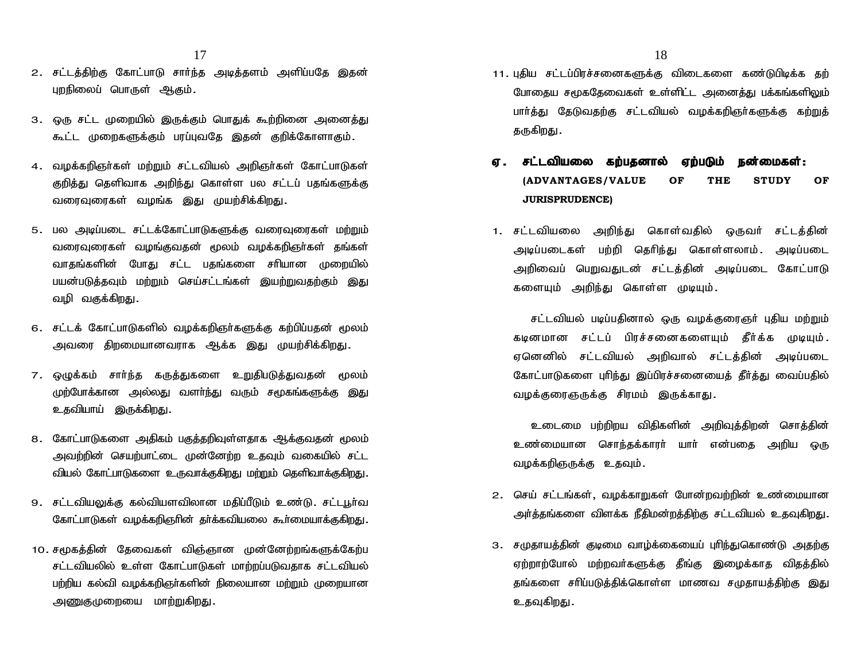- 17<br>2. சட்டத்திற்கு கோட்பாடு சார்ந்த அடித்தளம் அளிப்பதே இதன் புறநிலைப் பொருள் ஆகும்.
- 3. ஒரு சட்ட முறையில் இருக்கும் பொதுக் கூற்றினை அனைத்து கூட்ட முறைகளுக்கும் பரப்புவதே இதன் குறிக்கோளாகும்.
- 4. வழக்கறிஞர்கள் மற்றும் சட்டவியல் அறிஞர்கள் கோட்பாடுகள் குறித்து தெளிவாக அறிந்து கொள்ள பல சட்டப் பதங்களுக்கு வரைவுரைகள் வழங்க இது முயற்சிக்கிறது.
- 5. பல அடிப்படை சட்டக்கோட்பாடுகளுக்கு வரைவுரைகள் மற்றும் வரைவுரைகள் வமங்குவகன் மூலம் வமக்கறிஞர்கள் கங்கள் வாகங்களின் போது சட்ட பகங்களை சரியான முறையில் பயன்படுக்கவும் மற்றும் செய்சட்டங்கள் இயற்றுவகற்கும் இது வழி வகுக்கிறது. வாதங்களின் போது சட்ட பதங்களை சாியான முறையில்<br>பயன்படுத்தவும் மற்றும் செய்சட்டங்கள் இயற்றுவதற்கும் இது<br>வழி வகுக்கிறது.<br>6. சட்டக் கோட்பாடுகளில் வழக்கறிஞா்களுக்கு கற்பிப்பதன் மூலம்<br>அவரை திறமையானவராக ஆக்க இது முயற்சிக்கிறது.
- அவரை திறமையானவராக ஆக்க இது முயற்சிக்கிறது.
- வழா வகுக்கிறது.<br>6. சட்டக் கோட்பாடுகளில் வழக்கறிஞா்களுக்கு கற்பிப்பதன் மூலம்<br>அவரை திறமையானவராக ஆக்க இது முயற்சிக்கிறது.<br>7. ஒழுக்கம் சாா்ந்த கருத்துகளை உறுதிபடுத்துவதன் மூலம்<br>முற்போக்கான அல்லது வளா்ந்து வரும் சமூகங்களுக்கு முற்போக்கான அல்லது வளா்ந்து வரும் சமூகங்களுக்கு இது உதவியாய் இருக்கிறது.
- 8. கோட்பாடுகளை அதிகம் பகுத்தறிவுள்ளதாக ஆக்குவதன் மூலம் அவற்றின் செயற்பாட்டை முன்னேற்ற உதவும் வகையில் சட்ட வியல் கோட்பாடுகளை உருவாக்குகிறது மற்றும் தெளிவாக்குகிறது.
- 9. சட்டவியலுக்கு கல்வியளவிலான மதிப்பீடும் உண்டு. சட்டபூர்வ கோட்பாடுகள் வழக்கறிஞரின் தர்க்கவியலை கூர்மையாக்குகிறது.
- 10. சமூகத்தின் தேவைகள் விஞ்ஞான முன்னேற்றங்களுக்கேற்ப சட்டவியலில் உள்ள கோட்பாடுகள் மாற்றப்படுவதாக சட்டவியல் பற்றிய கல்வி வழக்கறிஞர்களின் நிலையான மற்றும் முறையான அணுகுமுறையை மாற்றுகிறது.
- 18<br>11. புதிய சட்டப்பிரச்சனைகளுக்கு விடைகளை கண்டுபிடிக்க தற்<br>போதைய சமூகதேவைகள் உள்ளிட்ட அனைத்து பக்கங்களிலும் போதைய சமூகதேவைகள் உள்ளிட்ட அனைத்து பக்கங்களிலும் பார்த்து தேடுவதற்கு சட்டவியல் வழக்கறிஞர்களுக்கு கற்றுத் கருகிறது. போதைய சமூகதேவைகள் உள்ளிட்ட அனைத்து பக்கங்களிலும்<br>பார்த்து தேடுவதற்கு சட்டவியல் வழக்கறிஞர்களுக்கு கற்றுத்<br>தருகிறது.<br>**ஏ. சட்டவியலை கற்பதனால் ஏற்படும் நன்மைகள்:**<br>(ADVANTAGES/VALUE OF THE STUDY OF
- **(ADVANTAGES/VALUE OF THE STUDY OF JURISPRUDENCE) ஏ .சட்டவியலை கற்பதனால் ஏற்படும் நன்மைகள்:**<br>(ADVANTAGES/VALUE OF THE STUDY OF<br>JURISPRUDENCE)<br>1. சட்டவியலை அறிந்து கொள்வதில் ஒருவர் சட்டத்தின்<br>அடிப்படைகள் பற்றி தெரிந்து கொள்ளலாம். அடிப்படை
- (ADVANTAGES/VALUE OF THE STUDY OF<br>JURISPRUDENCE)<br>சட்டவியலை அறிந்து கொள்வதில் ஒருவர் சட்டத்தின்<br>அடிப்படைகள் பற்றி தெரிந்து கொள்ளலாம். அடிப்படை<br>அறிவைப் பெறுவதுடன் சட்டத்தின் அடிப்படை கோட்பாடு **JURISPRUDENCE)**<br>சட்டவியலை அறிந்து கொள்வதில் ஒருவர் சட்டத்தின்<br>அடிப்படைகள் பற்றி தெரிந்து கொள்ளலாம். அடிப்படை<br>அறிவைப் பெறுவதுடன் சட்டத்தின் அடிப்படை கோட்பாடு<br>களையும் அறிந்து கொள்ள முடியும். 1. சட்டவியலை அறிந்து கொள்வதில் ஒருவர் சட்டத்தின்<br>அடிப்படைகள் பற்றி தெரிந்து கொள்ளலாம். அடிப்படை<br>அறிவைப் பெறுவதுடன் சட்டத்தின் அடிப்படை கோட்பாடு<br>களையும் அறிந்து கொள்ள முடியும். zப்படைகள் பற்றி தெரிந்து கொள்ளலாம். அடிப்படை<br>)ிவைப் பெறுவதுடன் சட்டத்தின் அடிப்படை கோட்பாடு<br>ளயும் அறிந்து கொள்ள முடியும்.<br>சட்டவியல் படிப்பதினால் ஒரு வழக்குரைஞர் புதிய மற்றும்<br>னமான சட்டப் பிரச்சனைகளையும் தீர்க்க முடியும்.

அறிவைப் பெறுவதுடன் சட்டத்தின் அடிப்படை கோட்பாடு<br>களையும் அறிந்து கொள்ள முடியும்.<br>சட்டவியல் படிப்பதினால் ஒரு வழக்குரைஞர் புதிய மற்றும்<br>கடினமான சட்டப் பிரச்சனைகளையும் தீர்க்க முடியும்.<br>ஏனெனில் சட்டவியல் அறிவால் சட்டத்தின் அட களையும் அறிந்து கொள்ள முடியும்.<br>சட்டவியல் படிப்பதினால் ஒரு வழக்குரைஞர் புதிய மற்றும்<br>கடினமான சட்டப் பிரச்சனைகளையும் தீர்க்க முடியும்.<br>ஏனெனில் சட்டவியல் அறிவால் சட்டத்தின் அடிப்படை<br>கோட்பாடுகளை புரிந்து இப்பிரச்சனையைத் தீர் சட்டவியல் படிப்பதினால் ஒரு வழக்குரைஞர் புதிய மற்றும்<br>கடினமான சட்டப் பிரச்சனைகளையும் தீர்க்க முடியும்.<br>ஏனெனில் சட்டவியல் அறிவால் சட்டத்தின் அடிப்படை<br>கோட்பாடுகளை புரிந்து இப்பிரச்சனையைத் தீர்த்து வைப்பதில்<br>வழக்குரைஞருக்கு ச ் சட்டவியல் படிப்பதிலால் ஒரு வழக்குலர்ஞா புதிய<br>கடினமான சட்டப் பிரச்சனைகளையும் தீர்க்க<br>ஏனெனில் சட்டவியல் அறிவால் சட்டத்தின் அ<br>கோட்பாடுகளை புரிந்து இப்பிரச்சனையைத் தீர்த்து <br>வழக்குரைஞருக்கு சிரமம் இருக்காது

உடைமை பற்றிறய விதிகளின் அறிவுக்கிறன் சொக்கின் உண்மையான சொந்தக்காரர் யார் என்பதை அறிய ஒரு வழக்கறிஞருக்கு உதவும்.

- 2. செய் சட்டங்கள், வழக்காறுகள் போன்றவற்றின் உண்மையான அர்த்தங்களை விளக்க நீதிமன்றத்திற்கு சட்டவியல் உதவுகிறது.
- 3. சமுதாயத்தின் குடிமை வாழ்க்கையைப் புரிந்துகொண்டு அதற்கு ஏற்றாற்போல் மற்றவர்களுக்கு தீங்கு இழைக்காத விதத்தில் தங்களை சரிப்படுத்திக்கொள்ள மாணவ சமுதாயத்திற்கு இது உதவுகிறது.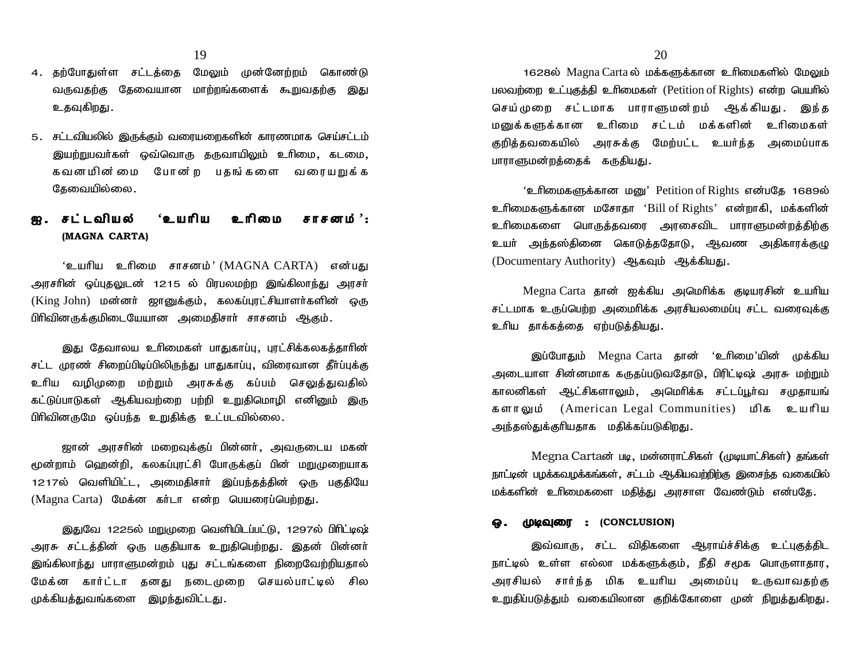- 19<br>4. தற்போதுள்ள சட்டத்தை மேலும் முன்னேற்றம் கொண்டு<br>வருவதற்கு தேவையான மாற்றங்களைக் கூறுவதற்கு இது வருவதற்கு தேவையான மாற்றங்களைக் கூறுவதற்கு இது உதவுகிறது.
- 5. சட்டவியலில் இருக்கும் வரையறைகளின் காரணமாக செய்சட்டம் இயற்றுபவா்கள் ஒவ்வொரு தருவாயிலும் உாிமை, கடமை, உதவுகிறது.<br>சட்டவியலில் இருக்கும் வரையறைகளின் காரணமாக செய்சட்டம்<br>இயற்றுபவர்கள் ஒவ்வொரு தருவாயிலும் உரிமை, கடமை,<br>கவனமின் மை போன் ற பதங் களை வரையறுக் க<br>தேவையில்லை. சட்டவியலில் இருக்கும் வரையன<br>இயற்றுபவர்கள் ஒவ்வொரு த<br>கவனமின்மை போன ற<br>தேவையில்லை. 3. சுட்டவியல்ல இருக்கும் வரையமைந்தளில் காரணமாக செய்சட்டம்<br>இயற்றுபவர்கள் ஒவ்வொரு தருவாயிலும் உரிமை, கடமை,<br>கவனமின்மை போன்ற பதங்களை வரையறுக்க<br>தேவையில்லை.<br>**இ. சட்டவியல் 'உயரிய உரிமை சாசனம்':**<br>(MAGNA CARTA)

# **(MAGNA CARTA)** த**ை**வஙலலை.<br>**சட்டவியல் 'உயரிய உரிமை சாசனம்':**<br>(MAGNA CARTA)<br>'உயரிய உரிமை சாசனம்' (MAGNA CARTA) என்பது<br>1ன் ஒப்புதலுடன் 1215 ல் பிரபலமற்ற இங்கிலாந்து அரசர்

**ஐ .சட்டவியல் 'உயரிய உரிமை சாசனம்':**<br>(MAGNA CARTA)<br>'உயரிய உரிமை சாசனம்' (MAGNA CARTA) என்பது<br>அரசரின் ஒப்புதலுடன் 1215 ல் பிரபலமற்ற இங்கிலாந்து அரசர்<br>(King John) மன்னர் ஜானுக்கும், கலகப்புரட்சியாளர்களின் ஒரு (**MAGNA CARTA)**<br>'உயரிய உரிமை சாசனம்' (MAGNA CARTA) என்பது<br>அரசரின் ஒப்புதலுடன் 1215 ல் பிரபலமற்ற இங்கிலாந்து அரசர்<br>(King John) மன்னர் ஜானுக்கும், கலகப்புரட்சியாளர்களின் ஒரு<br>பிரிவினருக்குமிடையேயான அமைதிசார் சாசனம் ஆகும். ்உயரிய உரிமை சாசனம்'(MAGNA-CARTA) என்பது<br>அரசரின் ஒப்புதலுடன் 1215 ல் பிரபலமற்ற இங்கிலாந்து அரசர்<br>(King John) மன்னர் ஜானுக்கும், கலகப்புரட்சியாளர்களின் ஒரு<br>பிரிவினருக்குமிடையேயான அமைதிசார் சாசனம் ஆகும். )ன் ஒப்புதலுடன் 1215 ல் பிரபலமற்ற இங்கிலாந்து அரசா்<br>John) மன்னா் ஜானுக்கும், கலகப்புரட்சியாளா்களின் ஒரு<br>எருக்குமிடையேயான அமைதிசாா் சாசனம் ஆகும்.<br>இது தேவாலய உாிமைகள் பாதுகாப்பு, புரட்சிக்கலகத்தாாின்<br>முரண் சிறைப்பிடிப்பிலிர

(King John) மன்னா் ஜானுக்கும், கலகப்புரட்சியாளா்களின் ஒரு<br>பிரிவினருக்குமிடையேயான அமைதிசாா் சாசனம் ஆகும்.<br>இது தேவாலய உாிமைகள் பாதுகாப்பு, புரட்சிக்கலகத்தாாின்<br>சட்ட முரண் சிறைப்பிடிப்பிலிருந்து பாதுகாப்பு, விரைவான தீா்ப்புக பிரிவினருக்குமிடையேயான அமைதிசாா் சாசனம் ஆகும்.<br>இது தேவாலய உாிமைகள் பாதுகாப்பு, புரட்சிக்கலகத்தாாின்<br>சட்ட முரண் சிறைப்பிடிப்பிலிருந்து பாதுகாப்பு, விரைவான தீா்ப்புக்கு<br>உாிய வழிமுறை மற்றும் அரசுக்கு கப்பம் செலுத்துவதில்<br> இது தேவாலய உரிமைகள் பாதுகாப்பு, புரட்சிக்கலகத்தாரின்<br>சட்ட முரண் சிறைப்பிடிப்பிலிருந்து பாதுகாப்பு, விரைவான தீா்ப்புக்கு<br>உரிய வழிமுறை மற்றும் அரசுக்கு கப்பம் செலுத்துவதில்<br>கட்டுப்பாடுகள் ஆகியவற்றை பற்றி உறுதிமொழி இது தேவாலய உரிமைகள் பாதுகாப்பு, புரட்சிக்கலகத்தாரின்<br>சட்ட முரண் சிறைப்பிடிப்பிலிருந்து பாதுகாப்பு, விரைவான தீா்ப்புக்கு<br>உரிய வழிமுறை மற்றும் அரசுக்கு கப்பம் செலுத்துவதில்<br>கட்டுப்பாடுகள் ஆகியவற்றை பற்றி உறுதிமொழி என

ஜான் அரசரின் மறைவுக்குப் பின்னர், அவருடைய மகன் கட்டுப்பாடுகள் ஆகியவற்றை பற்றி உறுதிமொழி எனினும் இரு<br>பிரிவினருமே ஒப்பந்த உறுதிக்கு உட்படவில்லை.<br>ஜான் அரசரின் மறைவுக்குப் பின்னர், அவருடைய மகன்<br>மூன்றாம் ஹென்றி, கலகப்புரட்சி போருக்குப் பின் மறுமுறையாக<br>1217ல் வெளியிட்ட, அமை 1217ல் வெளியிட்ட, அமைதிசார் இப்பந்தத்தின் ஒரு பகுதியே மூன்றாம் ஹென்றி, கலகப்புரட்சி போருக்குப் பின் மறுமுறையாக<br>1217ல் வெளியிட்ட, அமைதிசார் இப்பந்தத்தின் ஒரு பகுதியே<br>(Magna Carta) மேக்ன கர்டா என்ற பெயரைப்பெற்றது.

இதுவே 1225ல் மறுமுறை வெளியிடப்பட்டு, 1297ல் பிரிட்டிஷ் 1217ல் வெளியிட்ட, அமைதிசாா் இப்பந்தத்தின் ஒரு பகுதியே<br>(Magna Carta) மேக்ன கா்டா என்ற பெயரைப்பெற்றது.<br>இதுவே 1225ல் மறுமுறை வெளியிடப்பட்டு, 1297ல் பிரிட்டிஷ்<br>அரசு சட்டத்தின் ஒரு பகுதியாக உறுதிபெற்றது. இதன் பின்னா்<br>இங்கிலாந் (Magna Carta) மேக்ன கர்டா என்ற பெயரைப்பெற்றது.<br>இதுவே 1225ல் மறுமுறை வெளியிடப்பட்டு, 1297ல் பிரிட்டிஷ்<br>அரசு சட்டத்தின் ஒரு பகுதியாக உறுதிபெற்றது. இதன் பின்னர்<br>இங்கிலாந்து பாராளுமன்றம் புது சட்டங்களை நிறைவேற்றியதால்<br>மேக்ன க ் இதுவே 1225ல் மறுமுறை வெளியிடப்பட்டு, 1297ல் பிரிட்டிஷ்<br>அரசு சட்டத்தின் ஒரு பகுதியாக உறுதிபெற்றது. இதன் பின்னா்<br>இங்கிலாந்து பாராளுமன்றம் புது சட்டங்களை நிறைவேற்றியதால்<br>மேக்ன காா்ட்டா தனது நடைமுறை செயல்பாட்டில் சில<br>முக்கி இதுவே 1225ல் மறுமுறை வெளியிடப்ப<br>அரசு சட்டத்தின் ஒரு பகுதியாக உறுதிபெர்<br>இங்கிலாந்து பாராளுமன்றம் புது சட்டங்கலை<br>மேக்ன கார்ட்டா தனது நடைமுறை<br>முக்கியத்துவங்களை இழந்துவிட்டது.

1628ல் Magna Carta ல் மக்களுக்கான உரிமைகளில் மேலும் பலவற்றை உட்புகுத்தி உரிமைகள் (Petition of Rights) என்ற பெயரில் 20<br>1628ல் Magna Carta ல் மக்களுக்கான உரிமைகளில் மேலும்<br>மலவற்றை உட்புகுத்தி உரிமைகள் (Petition of Rights) என்ற பெயரில்<br>செய்முறை சட்டமாக பாராளுமன்றம் ஆக்கியது . இந்த<br>மனுக்களுக்கான உரிமை சட்டம் மக்களின் உரிமைகள்  $20$ <br>1628ல் Magna Carta ல் மக்களுக்கான உரிமைகளில் மேலும்<br>மலவற்றை உட்புகுத்தி உரிமைகள் (Petition of Rights) என்ற பெயரில்<br>மனுக்களுக்கான உரிமை சட்டம் மக்களின் உரிமைகள்<br>குறித்தவகையில் அரசுக்கு மேற்பட்ட உயர்ந்த அமைப்பாக<br>குறித் 1628ல் Magna Carta ல் மக்களுக்கான உரிமைகளில் மேலும்<br>பலவற்றை உட்புகுத்தி உரிமைகள் (Petition of Rights) என்ற பெயரில்<br>செய்முறை சட்டமாக பாராளுமன்றம் ஆக்கியது. இந்த<br>மனுக்களுக்கான உரிமை சட்டம் மக்களின் உரிமைகள்<br>குறித்தவகையில் அ செய்முறை சட்டமாக பாராளுமன்றம் ஆக்கியது. இந்த<br>மனுக்களுக்கான உரிமை சட்டம் மக்களின் உரிமைகள்<br>குறித்தவகையில் அரசுக்கு மேற்பட்ட உயர்ந்த அமைப்பாக<br>பாராளுமன்றத்தைக் கருதியது.

'உரிமைகளுக்கான மனு' Petition of Rights என்பதே 1689ல் குறித்தவகையில் அரசுக்கு மேற்பட்ட உயர்ந்த அமைப்பாக<br>பாராளுமன்றத்தைக் கருதியது.<br>'உரிமைகளுக்கான மனு' Petition of Rights என்பதே 1689ல்<br>உரிமைகளுக்கான மசோதா 'Bill of Rights' என்றாகி, மக்களின்<br>உரிமைகளை பொருத்தவரை அரசைவிட பாராளுமன பாராளுமன்றத்தைக் கருதியது.<br>'உரிமைகளுக்கான மனு' Petition of Rights என்பதே 1689ல்<br>உரிமைகளுக்கான மசோதா 'Bill of Rights' என்றாகி, மக்களின்<br>உரிமைகளை பொருத்தவரை அரசைவிட பாராளுமன்றத்திற்கு<br>உயர் அந்தஸ்தினை கொடுத்ததோடு, ஆவண அதிகார உயர் அந்தஸ்தினை கொடுத்ததோடு, ஆவண அதிகாரக்குழு உரிமைகளுக்கான மசோதா 'Bill of Rights' என்றாகி, மக்களின்<br>உரிமைகளை பொருக்கவரை அரசைவிட பாராளுமன்றக்கிற்கு

 $Megna Carta$  தான் ஐக்கிய அமெரிக்க குடியாசின் உயரிய (Documentary Authority) ஆகவும் ஆக்கியது.<br>Megna Carta தான் ஐக்கிய அமெரிக்க குடியரசின் உயரிய<br>சட்டமாக உருப்பெற்ற அமைரிக்க அரசியலமைப்பு சட்ட வரைவுக்கு<br>உரிய தாக்கத்தை ஏற்படுத்தியது.<br>இப்போதும் Megna Carta கான் 'உரிமை'யின் முக் legna Carta தான் ஐக்கிய அமெரிக்க குடியரசின் உயரிய<br>5 உருப்பெற்ற அமைரிக்க அரசியலமைப்பு சட்ட வரைவுக்கு<br>தாக்கத்தை ஏற்படுத்தியது.<br>இப்போதும் Megna Carta தான் 'உரிமை'யின் முக்கிய<br>ராள சின்னமாக கருதப்படுவதோடு, பிரிட்டிஷ் அரசு மற்ற

சட்டமாக உருப்பெற்ற அமைரிக்க அரசியலமைப்பு சட்ட வரைவுக்கு<br>உரிய தாக்கத்தை ஏற்படுத்தியது.<br>இப்போதும் Megna Carta தான் 'உரிமை'யின் முக்கிய<br>அடையாள சின்னமாக கருதப்படுவதோடு, பிரிட்டிஷ் அரசு மற்றும்<br>காலனிகள் ஆட்சிகளாலும், அமெரிக்க காலனிகள் ஆட்சிகளாலும், அமெரிக்க சட்டப்பூர்வ சமுதாயங<mark>்</mark> இப்போதும் Megna-Carta தான் 'உரிமை'யின் முக்கிய<br>அடையாள சின்னமாக கருதப்படுவதோடு, பிரிட்டிஷ் அரசு மற்றும்<br>காலனிகள் ஆட்சிகளாலும், அமெரிக்க சட்டப்பூர்வ சமுதாயங்<br>களாலும் (American Legal Communities) மிக உயரிய<br>அந்தஸ்துக்குரிய இப்போதும் Megna Carta தான் 'உ<br>அடையாள சின்னமாக கருதப்படுவதோடு, பிர்<br>காலனிகள் ஆட்சிகளாலும், அமெரிக்க சு<br>களாலும் (American Legal Communitie<br>அந்தஸ்துக்குரியதாக மதிக்கப்படுகிறது.

Megna Cartaன் படி, மன்னாாட்சிகள் (முடியாட்சிகள்) தங்கள் நாட்டின் பழக்கவழக்கங்கள், சட்டம் ஆகியவற்றிற்கு இசைந்த வகையில் மக்களின் உரிமைகளை மதித்து அரசாள வேண்டும் என்பதே.

### $\Omega$ . **(DIQQIENT :** (CONCLUSION)

பழக்கவழக்கங்கள், சட்டம் ஆகியவற்றிற்கு இசைந்த வகையில்<br>ர் உரிமைகளை மதித்து அரசாள வேண்டும் என்பதே.<br>**)டிவுரை : (CONCLUSION)**<br>இவ்வாரு, சட்ட விதிகளை ஆராய்ச்சிக்கு உட்புகுத்திட<br>உள்ள எல்லா மக்களுக்கும், நீதி சமூக பொருளாதார, மக்களின் உரிமைகளை மதித்து அரசாள வேண்டும் என்பதே.<br>**ஒ. முடிவுரை : (CONCLUSION)**<br>இவ்வாரு, சட்ட விதிகளை ஆராய்ச்சிக்கு உட்புகுத்திட<br>நாட்டில் உள்ள எல்லா மக்களுக்கும், நீதி சமூக பொருளாதார,<br>அரசியல் சார்ந்த மிக உயரிய அமைப்பு உருவா **ஓ . முடிவுரை : (CONCLUSION)**<br>இவ்வாரு, சட்ட விதிகளை ஆராய்ச்சிக்கு உட்புகுத்திட<br>நாட்டில் உள்ள எல்லா மக்களுக்கும், நீதி சமூக பொருளாதார,<br>அரசியல் சார்ந்த மிக உயரிய அமைப்பு உருவாவதற்கு<br>உறுதிப்படுத்தும் வகையிலான குறிக்கோளை முன் **. முடிவுவர : (**CONCLOSION)<br>இவ்வாரு, சட்ட விதிகளை ஆராய்ச்சிக்கு உட்புகுத்திட<br>நாட்டில் உள்ள எல்லா மக்களுக்கும், நீதி சமூக பொருளாதார,<br>அரசியல் சார்ந்த மிக உயரிய அமைப்பு உருவாவதற்கு<br>உறுதிப்படுத்தும் வகையிலான குறிக்கோளை முன் ந